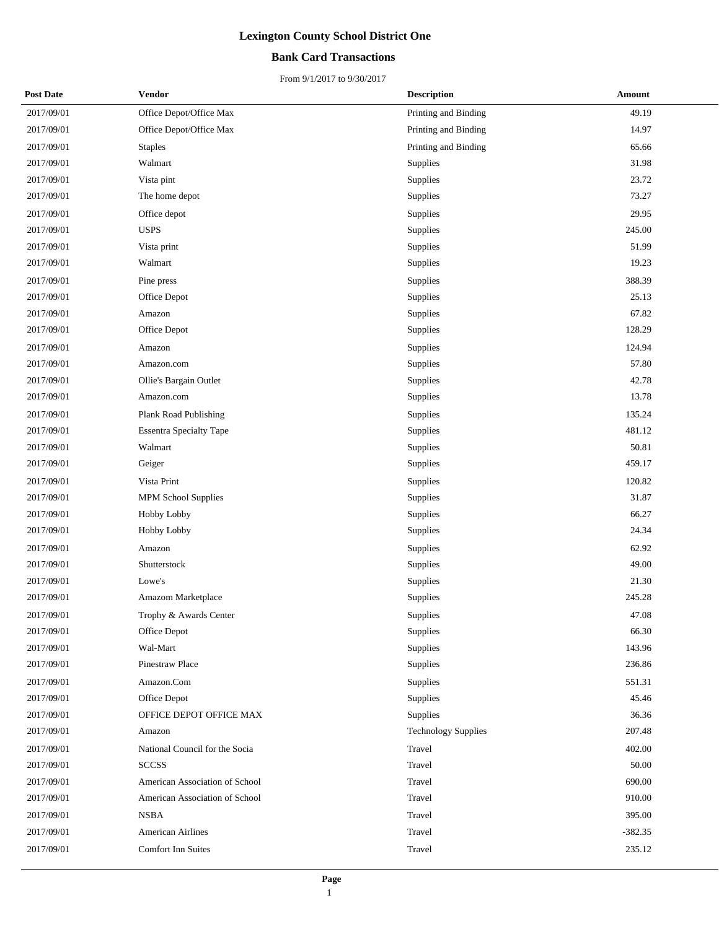#### **Bank Card Transactions**

| <b>Post Date</b> | <b>Vendor</b>                  | <b>Description</b>         | Amount    |
|------------------|--------------------------------|----------------------------|-----------|
| 2017/09/01       | Office Depot/Office Max        | Printing and Binding       | 49.19     |
| 2017/09/01       | Office Depot/Office Max        | Printing and Binding       | 14.97     |
| 2017/09/01       | <b>Staples</b>                 | Printing and Binding       | 65.66     |
| 2017/09/01       | Walmart                        | Supplies                   | 31.98     |
| 2017/09/01       | Vista pint                     | Supplies                   | 23.72     |
| 2017/09/01       | The home depot                 | Supplies                   | 73.27     |
| 2017/09/01       | Office depot                   | Supplies                   | 29.95     |
| 2017/09/01       | <b>USPS</b>                    | Supplies                   | 245.00    |
| 2017/09/01       | Vista print                    | Supplies                   | 51.99     |
| 2017/09/01       | Walmart                        | Supplies                   | 19.23     |
| 2017/09/01       | Pine press                     | Supplies                   | 388.39    |
| 2017/09/01       | Office Depot                   | Supplies                   | 25.13     |
| 2017/09/01       | Amazon                         | Supplies                   | 67.82     |
| 2017/09/01       | Office Depot                   | Supplies                   | 128.29    |
| 2017/09/01       | Amazon                         | Supplies                   | 124.94    |
| 2017/09/01       | Amazon.com                     | Supplies                   | 57.80     |
| 2017/09/01       | Ollie's Bargain Outlet         | Supplies                   | 42.78     |
| 2017/09/01       | Amazon.com                     | Supplies                   | 13.78     |
| 2017/09/01       | Plank Road Publishing          | Supplies                   | 135.24    |
| 2017/09/01       | <b>Essentra Specialty Tape</b> | Supplies                   | 481.12    |
| 2017/09/01       | Walmart                        | Supplies                   | 50.81     |
| 2017/09/01       | Geiger                         | Supplies                   | 459.17    |
| 2017/09/01       | Vista Print                    | Supplies                   | 120.82    |
| 2017/09/01       | <b>MPM School Supplies</b>     | Supplies                   | 31.87     |
| 2017/09/01       | Hobby Lobby                    | Supplies                   | 66.27     |
| 2017/09/01       | Hobby Lobby                    | Supplies                   | 24.34     |
| 2017/09/01       | Amazon                         | Supplies                   | 62.92     |
| 2017/09/01       | Shutterstock                   | Supplies                   | 49.00     |
| 2017/09/01       | Lowe's                         | Supplies                   | 21.30     |
| 2017/09/01       | Amazom Marketplace             | Supplies                   | 245.28    |
| 2017/09/01       | Trophy & Awards Center         | Supplies                   | 47.08     |
| 2017/09/01       | Office Depot                   | Supplies                   | 66.30     |
| 2017/09/01       | Wal-Mart                       | Supplies                   | 143.96    |
| 2017/09/01       | Pinestraw Place                | Supplies                   | 236.86    |
| 2017/09/01       | Amazon.Com                     | Supplies                   | 551.31    |
| 2017/09/01       | Office Depot                   | Supplies                   | 45.46     |
| 2017/09/01       | OFFICE DEPOT OFFICE MAX        | Supplies                   | 36.36     |
| 2017/09/01       | Amazon                         | <b>Technology Supplies</b> | 207.48    |
| 2017/09/01       | National Council for the Socia | Travel                     | 402.00    |
| 2017/09/01       | <b>SCCSS</b>                   | Travel                     | 50.00     |
| 2017/09/01       | American Association of School | Travel                     | 690.00    |
| 2017/09/01       | American Association of School | Travel                     | 910.00    |
| 2017/09/01       | NSBA                           | Travel                     | 395.00    |
| 2017/09/01       | <b>American Airlines</b>       | Travel                     | $-382.35$ |
| 2017/09/01       | <b>Comfort Inn Suites</b>      | Travel                     | 235.12    |
|                  |                                |                            |           |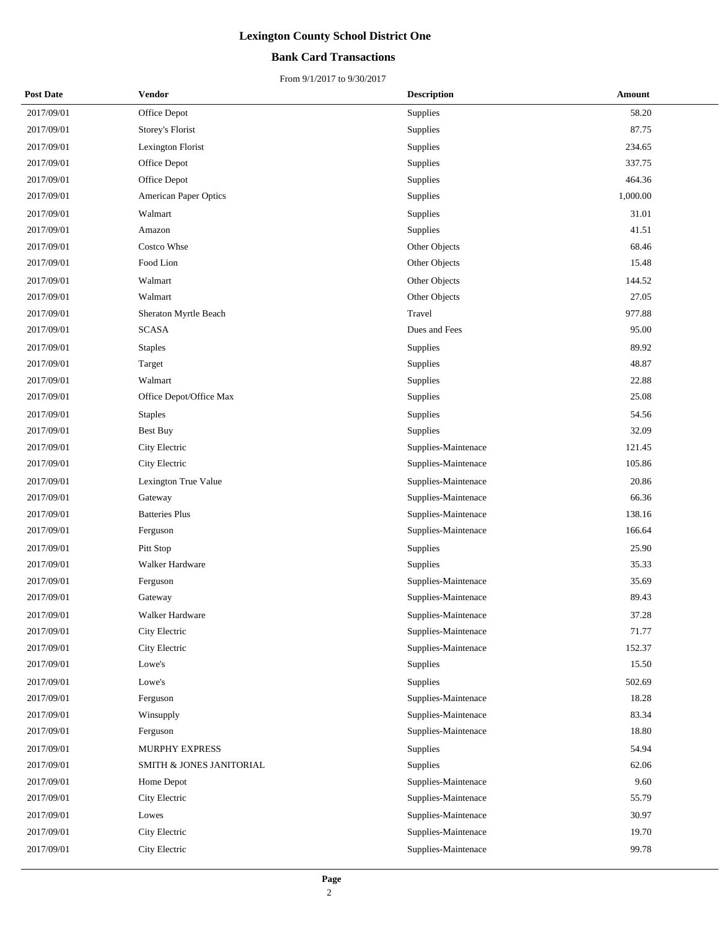#### **Bank Card Transactions**

| <b>Post Date</b> | Vendor                   | <b>Description</b>  | <b>Amount</b> |
|------------------|--------------------------|---------------------|---------------|
| 2017/09/01       | Office Depot             | Supplies            | 58.20         |
| 2017/09/01       | Storey's Florist         | Supplies            | 87.75         |
| 2017/09/01       | Lexington Florist        | Supplies            | 234.65        |
| 2017/09/01       | Office Depot             | Supplies            | 337.75        |
| 2017/09/01       | Office Depot             | Supplies            | 464.36        |
| 2017/09/01       | American Paper Optics    | Supplies            | 1,000.00      |
| 2017/09/01       | Walmart                  | Supplies            | 31.01         |
| 2017/09/01       | Amazon                   | Supplies            | 41.51         |
| 2017/09/01       | <b>Costco Whse</b>       | Other Objects       | 68.46         |
| 2017/09/01       | Food Lion                | Other Objects       | 15.48         |
| 2017/09/01       | Walmart                  | Other Objects       | 144.52        |
| 2017/09/01       | Walmart                  | Other Objects       | 27.05         |
| 2017/09/01       | Sheraton Myrtle Beach    | Travel              | 977.88        |
| 2017/09/01       | SCASA                    | Dues and Fees       | 95.00         |
| 2017/09/01       | <b>Staples</b>           | Supplies            | 89.92         |
| 2017/09/01       | Target                   | Supplies            | 48.87         |
| 2017/09/01       | Walmart                  | Supplies            | 22.88         |
| 2017/09/01       | Office Depot/Office Max  | Supplies            | 25.08         |
| 2017/09/01       | <b>Staples</b>           | Supplies            | 54.56         |
| 2017/09/01       | <b>Best Buy</b>          | Supplies            | 32.09         |
| 2017/09/01       | City Electric            | Supplies-Maintenace | 121.45        |
| 2017/09/01       | City Electric            | Supplies-Maintenace | 105.86        |
| 2017/09/01       | Lexington True Value     | Supplies-Maintenace | 20.86         |
| 2017/09/01       | Gateway                  | Supplies-Maintenace | 66.36         |
| 2017/09/01       | <b>Batteries Plus</b>    | Supplies-Maintenace | 138.16        |
| 2017/09/01       | Ferguson                 | Supplies-Maintenace | 166.64        |
| 2017/09/01       | Pitt Stop                | Supplies            | 25.90         |
| 2017/09/01       | Walker Hardware          | Supplies            | 35.33         |
| 2017/09/01       | Ferguson                 | Supplies-Maintenace | 35.69         |
| 2017/09/01       | Gateway                  | Supplies-Maintenace | 89.43         |
| 2017/09/01       | Walker Hardware          | Supplies-Maintenace | 37.28         |
| 2017/09/01       | City Electric            | Supplies-Maintenace | 71.77         |
| 2017/09/01       | City Electric            | Supplies-Maintenace | 152.37        |
| 2017/09/01       | Lowe's                   | Supplies            | 15.50         |
| 2017/09/01       | Lowe's                   | Supplies            | 502.69        |
| 2017/09/01       | Ferguson                 | Supplies-Maintenace | 18.28         |
| 2017/09/01       | Winsupply                | Supplies-Maintenace | 83.34         |
| 2017/09/01       | Ferguson                 | Supplies-Maintenace | 18.80         |
| 2017/09/01       | MURPHY EXPRESS           | Supplies            | 54.94         |
| 2017/09/01       | SMITH & JONES JANITORIAL | <b>Supplies</b>     | 62.06         |
| 2017/09/01       | Home Depot               | Supplies-Maintenace | 9.60          |
| 2017/09/01       | City Electric            | Supplies-Maintenace | 55.79         |
| 2017/09/01       | Lowes                    | Supplies-Maintenace | 30.97         |
| 2017/09/01       | City Electric            | Supplies-Maintenace | 19.70         |
| 2017/09/01       | City Electric            | Supplies-Maintenace | 99.78         |
|                  |                          |                     |               |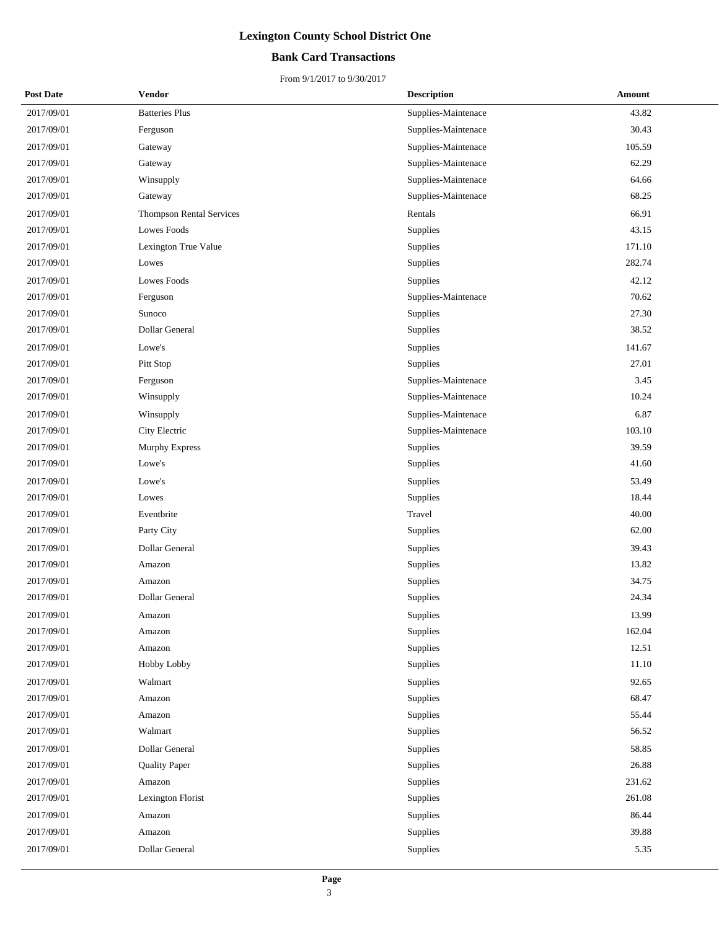#### **Bank Card Transactions**

| <b>Post Date</b> | <b>Vendor</b>                   | <b>Description</b>  | Amount |
|------------------|---------------------------------|---------------------|--------|
| 2017/09/01       | <b>Batteries Plus</b>           | Supplies-Maintenace | 43.82  |
| 2017/09/01       | Ferguson                        | Supplies-Maintenace | 30.43  |
| 2017/09/01       | Gateway                         | Supplies-Maintenace | 105.59 |
| 2017/09/01       | Gateway                         | Supplies-Maintenace | 62.29  |
| 2017/09/01       | Winsupply                       | Supplies-Maintenace | 64.66  |
| 2017/09/01       | Gateway                         | Supplies-Maintenace | 68.25  |
| 2017/09/01       | <b>Thompson Rental Services</b> | Rentals             | 66.91  |
| 2017/09/01       | Lowes Foods                     | Supplies            | 43.15  |
| 2017/09/01       | Lexington True Value            | Supplies            | 171.10 |
| 2017/09/01       | Lowes                           | Supplies            | 282.74 |
| 2017/09/01       | Lowes Foods                     | Supplies            | 42.12  |
| 2017/09/01       | Ferguson                        | Supplies-Maintenace | 70.62  |
| 2017/09/01       | Sunoco                          | Supplies            | 27.30  |
| 2017/09/01       | Dollar General                  | Supplies            | 38.52  |
| 2017/09/01       | Lowe's                          | Supplies            | 141.67 |
| 2017/09/01       | Pitt Stop                       | Supplies            | 27.01  |
| 2017/09/01       | Ferguson                        | Supplies-Maintenace | 3.45   |
| 2017/09/01       | Winsupply                       | Supplies-Maintenace | 10.24  |
| 2017/09/01       | Winsupply                       | Supplies-Maintenace | 6.87   |
| 2017/09/01       | City Electric                   | Supplies-Maintenace | 103.10 |
| 2017/09/01       | <b>Murphy Express</b>           | Supplies            | 39.59  |
| 2017/09/01       | Lowe's                          | Supplies            | 41.60  |
| 2017/09/01       | Lowe's                          | Supplies            | 53.49  |
| 2017/09/01       | Lowes                           | Supplies            | 18.44  |
| 2017/09/01       | Eventbrite                      | Travel              | 40.00  |
| 2017/09/01       | Party City                      | Supplies            | 62.00  |
| 2017/09/01       | Dollar General                  | Supplies            | 39.43  |
| 2017/09/01       | Amazon                          | Supplies            | 13.82  |
| 2017/09/01       | Amazon                          | Supplies            | 34.75  |
| 2017/09/01       | Dollar General                  | Supplies            | 24.34  |
| 2017/09/01       | Amazon                          | Supplies            | 13.99  |
| 2017/09/01       | Amazon                          | Supplies            | 162.04 |
| 2017/09/01       | Amazon                          | Supplies            | 12.51  |
| 2017/09/01       | Hobby Lobby                     | Supplies            | 11.10  |
| 2017/09/01       | Walmart                         | Supplies            | 92.65  |
| 2017/09/01       | Amazon                          | Supplies            | 68.47  |
| 2017/09/01       | Amazon                          | Supplies            | 55.44  |
| 2017/09/01       | Walmart                         | Supplies            | 56.52  |
| 2017/09/01       | Dollar General                  | Supplies            | 58.85  |
| 2017/09/01       | <b>Quality Paper</b>            | Supplies            | 26.88  |
| 2017/09/01       | Amazon                          | Supplies            | 231.62 |
| 2017/09/01       | Lexington Florist               | Supplies            | 261.08 |
| 2017/09/01       | Amazon                          | Supplies            | 86.44  |
| 2017/09/01       | Amazon                          | Supplies            | 39.88  |
| 2017/09/01       | Dollar General                  | Supplies            | 5.35   |
|                  |                                 |                     |        |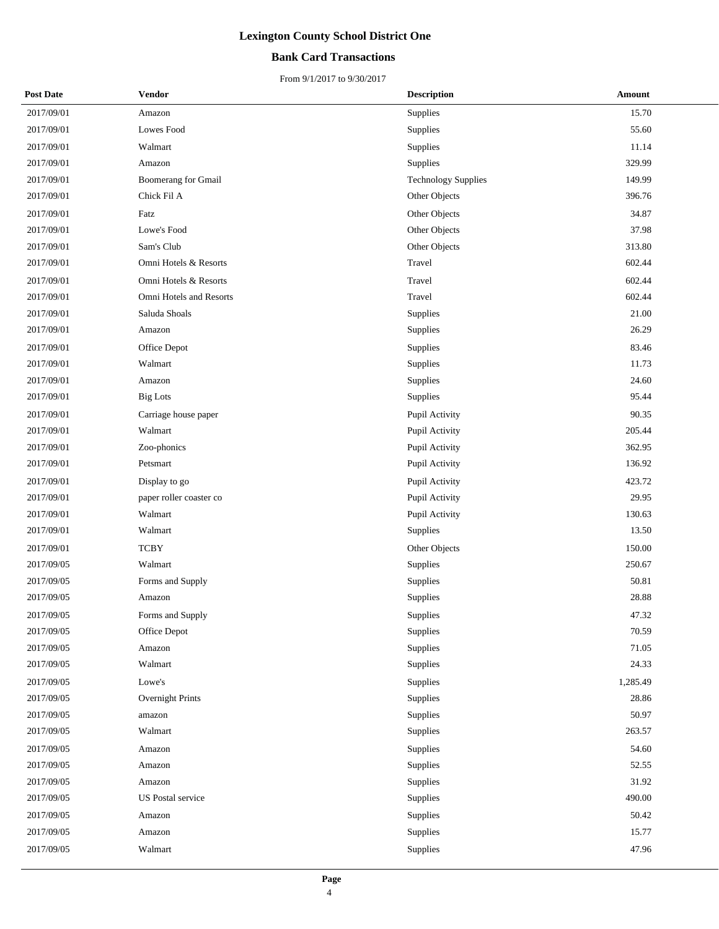#### **Bank Card Transactions**

| <b>Post Date</b> | <b>Vendor</b>            | <b>Description</b>         | Amount   |
|------------------|--------------------------|----------------------------|----------|
| 2017/09/01       | Amazon                   | Supplies                   | 15.70    |
| 2017/09/01       | Lowes Food               | Supplies                   | 55.60    |
| 2017/09/01       | Walmart                  | Supplies                   | 11.14    |
| 2017/09/01       | Amazon                   | Supplies                   | 329.99   |
| 2017/09/01       | Boomerang for Gmail      | <b>Technology Supplies</b> | 149.99   |
| 2017/09/01       | Chick Fil A              | Other Objects              | 396.76   |
| 2017/09/01       | Fatz                     | Other Objects              | 34.87    |
| 2017/09/01       | Lowe's Food              | Other Objects              | 37.98    |
| 2017/09/01       | Sam's Club               | Other Objects              | 313.80   |
| 2017/09/01       | Omni Hotels & Resorts    | Travel                     | 602.44   |
| 2017/09/01       | Omni Hotels & Resorts    | Travel                     | 602.44   |
| 2017/09/01       | Omni Hotels and Resorts  | Travel                     | 602.44   |
| 2017/09/01       | Saluda Shoals            | Supplies                   | 21.00    |
| 2017/09/01       | Amazon                   | Supplies                   | 26.29    |
| 2017/09/01       | Office Depot             | Supplies                   | 83.46    |
| 2017/09/01       | Walmart                  | Supplies                   | 11.73    |
| 2017/09/01       | Amazon                   | Supplies                   | 24.60    |
| 2017/09/01       | <b>Big Lots</b>          | Supplies                   | 95.44    |
| 2017/09/01       | Carriage house paper     | Pupil Activity             | 90.35    |
| 2017/09/01       | Walmart                  | Pupil Activity             | 205.44   |
| 2017/09/01       | Zoo-phonics              | Pupil Activity             | 362.95   |
| 2017/09/01       | Petsmart                 | Pupil Activity             | 136.92   |
| 2017/09/01       | Display to go            | Pupil Activity             | 423.72   |
| 2017/09/01       | paper roller coaster co  | Pupil Activity             | 29.95    |
| 2017/09/01       | Walmart                  | Pupil Activity             | 130.63   |
| 2017/09/01       | Walmart                  | Supplies                   | 13.50    |
| 2017/09/01       | <b>TCBY</b>              | Other Objects              | 150.00   |
| 2017/09/05       | Walmart                  | Supplies                   | 250.67   |
| 2017/09/05       | Forms and Supply         | Supplies                   | 50.81    |
| 2017/09/05       | Amazon                   | Supplies                   | 28.88    |
| 2017/09/05       | Forms and Supply         | Supplies                   | 47.32    |
| 2017/09/05       | Office Depot             | Supplies                   | 70.59    |
| 2017/09/05       | Amazon                   | Supplies                   | 71.05    |
| 2017/09/05       | Walmart                  | Supplies                   | 24.33    |
| 2017/09/05       | Lowe's                   | Supplies                   | 1,285.49 |
| 2017/09/05       | Overnight Prints         | Supplies                   | 28.86    |
| 2017/09/05       | amazon                   | Supplies                   | 50.97    |
| 2017/09/05       | Walmart                  | Supplies                   | 263.57   |
| 2017/09/05       | Amazon                   | Supplies                   | 54.60    |
| 2017/09/05       | Amazon                   | Supplies                   | 52.55    |
| 2017/09/05       | Amazon                   | Supplies                   | 31.92    |
| 2017/09/05       | <b>US</b> Postal service | Supplies                   | 490.00   |
| 2017/09/05       | Amazon                   | Supplies                   | 50.42    |
| 2017/09/05       | Amazon                   | Supplies                   | 15.77    |
| 2017/09/05       | Walmart                  | Supplies                   | 47.96    |
|                  |                          |                            |          |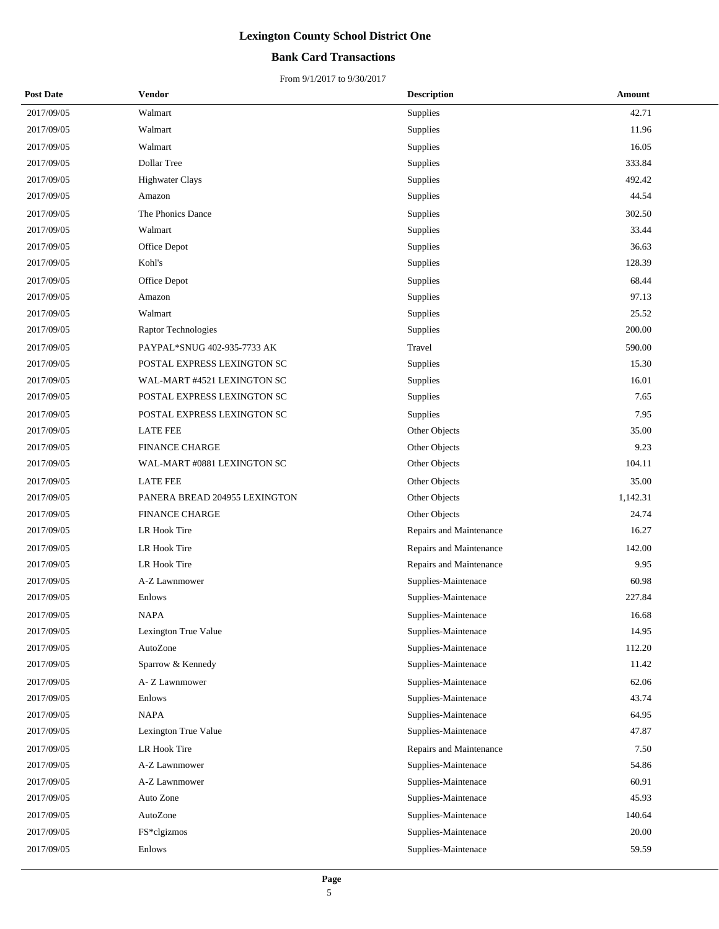#### **Bank Card Transactions**

| <b>Post Date</b> | Vendor                        | <b>Description</b>      | Amount   |
|------------------|-------------------------------|-------------------------|----------|
| 2017/09/05       | Walmart                       | Supplies                | 42.71    |
| 2017/09/05       | Walmart                       | Supplies                | 11.96    |
| 2017/09/05       | Walmart                       | Supplies                | 16.05    |
| 2017/09/05       | Dollar Tree                   | Supplies                | 333.84   |
| 2017/09/05       | <b>Highwater Clays</b>        | Supplies                | 492.42   |
| 2017/09/05       | Amazon                        | Supplies                | 44.54    |
| 2017/09/05       | The Phonics Dance             | Supplies                | 302.50   |
| 2017/09/05       | Walmart                       | Supplies                | 33.44    |
| 2017/09/05       | Office Depot                  | Supplies                | 36.63    |
| 2017/09/05       | Kohl's                        | Supplies                | 128.39   |
| 2017/09/05       | Office Depot                  | Supplies                | 68.44    |
| 2017/09/05       | Amazon                        | Supplies                | 97.13    |
| 2017/09/05       | Walmart                       | Supplies                | 25.52    |
| 2017/09/05       | Raptor Technologies           | Supplies                | 200.00   |
| 2017/09/05       | PAYPAL*SNUG 402-935-7733 AK   | Travel                  | 590.00   |
| 2017/09/05       | POSTAL EXPRESS LEXINGTON SC   | <b>Supplies</b>         | 15.30    |
| 2017/09/05       | WAL-MART #4521 LEXINGTON SC   | Supplies                | 16.01    |
| 2017/09/05       | POSTAL EXPRESS LEXINGTON SC   | Supplies                | 7.65     |
| 2017/09/05       | POSTAL EXPRESS LEXINGTON SC   | Supplies                | 7.95     |
| 2017/09/05       | <b>LATE FEE</b>               | Other Objects           | 35.00    |
| 2017/09/05       | <b>FINANCE CHARGE</b>         | Other Objects           | 9.23     |
| 2017/09/05       | WAL-MART #0881 LEXINGTON SC   | Other Objects           | 104.11   |
| 2017/09/05       | <b>LATE FEE</b>               | Other Objects           | 35.00    |
| 2017/09/05       | PANERA BREAD 204955 LEXINGTON | Other Objects           | 1,142.31 |
| 2017/09/05       | <b>FINANCE CHARGE</b>         | Other Objects           | 24.74    |
| 2017/09/05       | LR Hook Tire                  | Repairs and Maintenance | 16.27    |
| 2017/09/05       | LR Hook Tire                  | Repairs and Maintenance | 142.00   |
| 2017/09/05       | LR Hook Tire                  | Repairs and Maintenance | 9.95     |
| 2017/09/05       | A-Z Lawnmower                 | Supplies-Maintenace     | 60.98    |
| 2017/09/05       | Enlows                        | Supplies-Maintenace     | 227.84   |
| 2017/09/05       | <b>NAPA</b>                   | Supplies-Maintenace     | 16.68    |
| 2017/09/05       | Lexington True Value          | Supplies-Maintenace     | 14.95    |
| 2017/09/05       | AutoZone                      | Supplies-Maintenace     | 112.20   |
| 2017/09/05       | Sparrow & Kennedy             | Supplies-Maintenace     | 11.42    |
| 2017/09/05       | A- Z Lawnmower                | Supplies-Maintenace     | 62.06    |
| 2017/09/05       | Enlows                        | Supplies-Maintenace     | 43.74    |
| 2017/09/05       | <b>NAPA</b>                   | Supplies-Maintenace     | 64.95    |
| 2017/09/05       | Lexington True Value          | Supplies-Maintenace     | 47.87    |
| 2017/09/05       | LR Hook Tire                  | Repairs and Maintenance | 7.50     |
| 2017/09/05       | A-Z Lawnmower                 | Supplies-Maintenace     | 54.86    |
| 2017/09/05       | A-Z Lawnmower                 | Supplies-Maintenace     | 60.91    |
| 2017/09/05       | Auto Zone                     | Supplies-Maintenace     | 45.93    |
| 2017/09/05       | AutoZone                      | Supplies-Maintenace     | 140.64   |
| 2017/09/05       | FS*clgizmos                   | Supplies-Maintenace     | 20.00    |
| 2017/09/05       | Enlows                        | Supplies-Maintenace     | 59.59    |
|                  |                               |                         |          |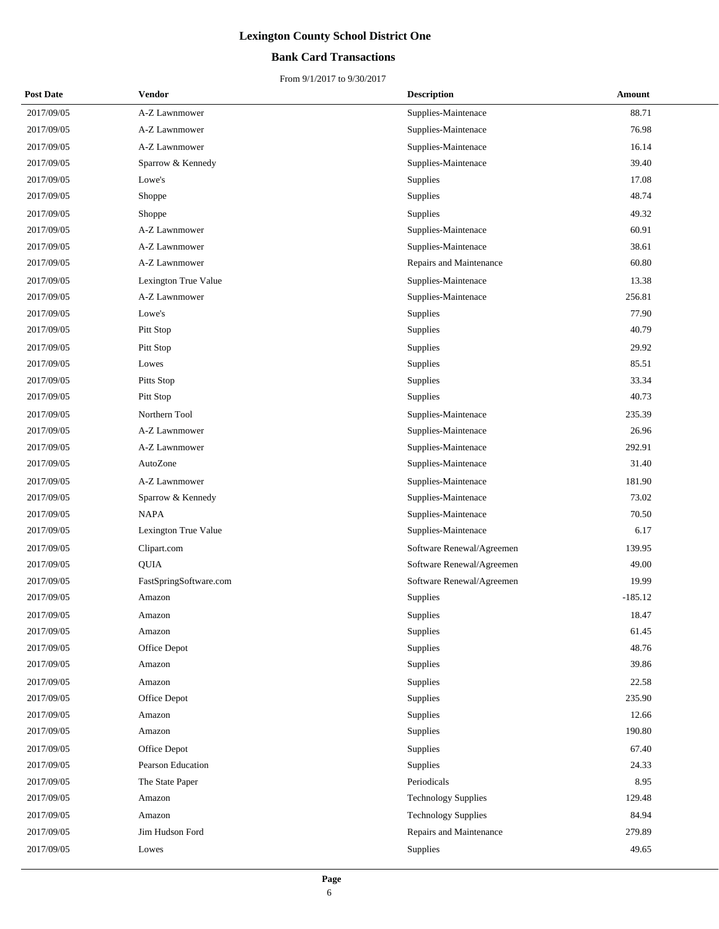#### **Bank Card Transactions**

| <b>Post Date</b> | <b>Vendor</b>          | <b>Description</b>         | Amount    |
|------------------|------------------------|----------------------------|-----------|
| 2017/09/05       | A-Z Lawnmower          | Supplies-Maintenace        | 88.71     |
| 2017/09/05       | A-Z Lawnmower          | Supplies-Maintenace        | 76.98     |
| 2017/09/05       | A-Z Lawnmower          | Supplies-Maintenace        | 16.14     |
| 2017/09/05       | Sparrow & Kennedy      | Supplies-Maintenace        | 39.40     |
| 2017/09/05       | Lowe's                 | Supplies                   | 17.08     |
| 2017/09/05       | Shoppe                 | Supplies                   | 48.74     |
| 2017/09/05       | Shoppe                 | Supplies                   | 49.32     |
| 2017/09/05       | A-Z Lawnmower          | Supplies-Maintenace        | 60.91     |
| 2017/09/05       | A-Z Lawnmower          | Supplies-Maintenace        | 38.61     |
| 2017/09/05       | A-Z Lawnmower          | Repairs and Maintenance    | 60.80     |
| 2017/09/05       | Lexington True Value   | Supplies-Maintenace        | 13.38     |
| 2017/09/05       | A-Z Lawnmower          | Supplies-Maintenace        | 256.81    |
| 2017/09/05       | Lowe's                 | Supplies                   | 77.90     |
| 2017/09/05       | Pitt Stop              | Supplies                   | 40.79     |
| 2017/09/05       | Pitt Stop              | Supplies                   | 29.92     |
| 2017/09/05       | Lowes                  | Supplies                   | 85.51     |
| 2017/09/05       | Pitts Stop             | Supplies                   | 33.34     |
| 2017/09/05       | Pitt Stop              | Supplies                   | 40.73     |
| 2017/09/05       | Northern Tool          | Supplies-Maintenace        | 235.39    |
| 2017/09/05       | A-Z Lawnmower          | Supplies-Maintenace        | 26.96     |
| 2017/09/05       | A-Z Lawnmower          | Supplies-Maintenace        | 292.91    |
| 2017/09/05       | AutoZone               | Supplies-Maintenace        | 31.40     |
| 2017/09/05       | A-Z Lawnmower          | Supplies-Maintenace        | 181.90    |
| 2017/09/05       | Sparrow & Kennedy      | Supplies-Maintenace        | 73.02     |
| 2017/09/05       | <b>NAPA</b>            | Supplies-Maintenace        | 70.50     |
| 2017/09/05       | Lexington True Value   | Supplies-Maintenace        | 6.17      |
| 2017/09/05       | Clipart.com            | Software Renewal/Agreemen  | 139.95    |
| 2017/09/05       | <b>QUIA</b>            | Software Renewal/Agreemen  | 49.00     |
| 2017/09/05       | FastSpringSoftware.com | Software Renewal/Agreemen  | 19.99     |
| 2017/09/05       | Amazon                 | Supplies                   | $-185.12$ |
| 2017/09/05       | Amazon                 | Supplies                   | 18.47     |
| 2017/09/05       | Amazon                 | Supplies                   | 61.45     |
| 2017/09/05       | Office Depot           | Supplies                   | 48.76     |
| 2017/09/05       | Amazon                 | Supplies                   | 39.86     |
| 2017/09/05       | Amazon                 | Supplies                   | 22.58     |
| 2017/09/05       | Office Depot           | Supplies                   | 235.90    |
| 2017/09/05       | Amazon                 | Supplies                   | 12.66     |
| 2017/09/05       | Amazon                 | Supplies                   | 190.80    |
| 2017/09/05       | Office Depot           | Supplies                   | 67.40     |
| 2017/09/05       | Pearson Education      | Supplies                   | 24.33     |
| 2017/09/05       | The State Paper        | Periodicals                | 8.95      |
| 2017/09/05       | Amazon                 | <b>Technology Supplies</b> | 129.48    |
| 2017/09/05       | Amazon                 | <b>Technology Supplies</b> | 84.94     |
| 2017/09/05       | Jim Hudson Ford        | Repairs and Maintenance    | 279.89    |
| 2017/09/05       | Lowes                  | Supplies                   | 49.65     |
|                  |                        |                            |           |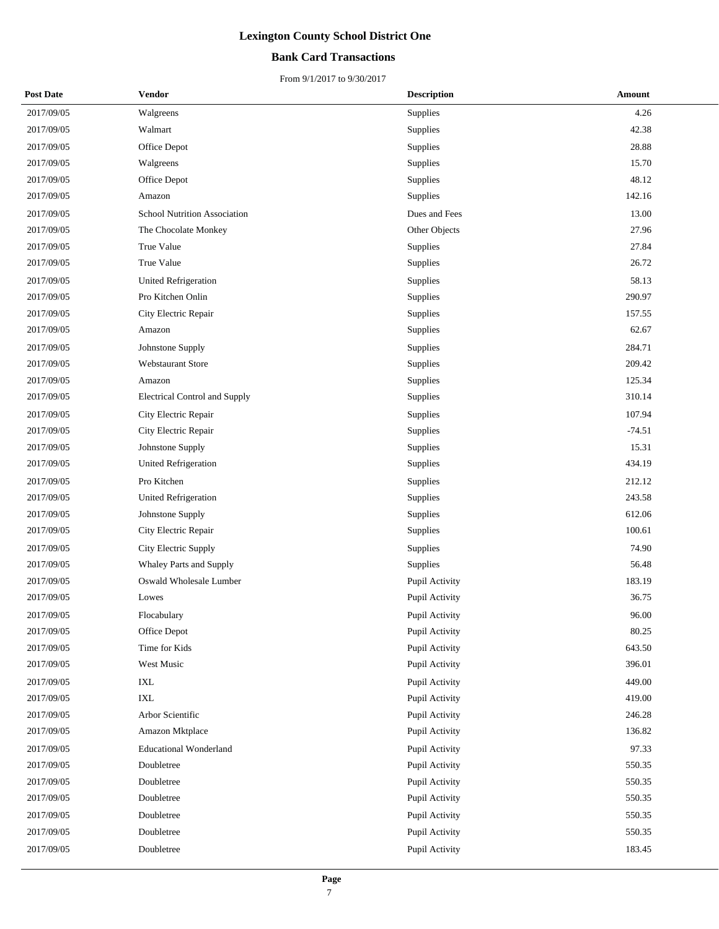#### **Bank Card Transactions**

| <b>Post Date</b> | <b>Vendor</b>                 | <b>Description</b> | Amount   |
|------------------|-------------------------------|--------------------|----------|
| 2017/09/05       | Walgreens                     | Supplies           | 4.26     |
| 2017/09/05       | Walmart                       | Supplies           | 42.38    |
| 2017/09/05       | Office Depot                  | Supplies           | 28.88    |
| 2017/09/05       | Walgreens                     | Supplies           | 15.70    |
| 2017/09/05       | Office Depot                  | Supplies           | 48.12    |
| 2017/09/05       | Amazon                        | Supplies           | 142.16   |
| 2017/09/05       | School Nutrition Association  | Dues and Fees      | 13.00    |
| 2017/09/05       | The Chocolate Monkey          | Other Objects      | 27.96    |
| 2017/09/05       | True Value                    | Supplies           | 27.84    |
| 2017/09/05       | True Value                    | Supplies           | 26.72    |
| 2017/09/05       | <b>United Refrigeration</b>   | Supplies           | 58.13    |
| 2017/09/05       | Pro Kitchen Onlin             | Supplies           | 290.97   |
| 2017/09/05       | City Electric Repair          | Supplies           | 157.55   |
| 2017/09/05       | Amazon                        | Supplies           | 62.67    |
| 2017/09/05       | Johnstone Supply              | Supplies           | 284.71   |
| 2017/09/05       | Webstaurant Store             | Supplies           | 209.42   |
| 2017/09/05       | Amazon                        | Supplies           | 125.34   |
| 2017/09/05       | Electrical Control and Supply | Supplies           | 310.14   |
| 2017/09/05       | City Electric Repair          | Supplies           | 107.94   |
| 2017/09/05       | City Electric Repair          | Supplies           | $-74.51$ |
| 2017/09/05       | Johnstone Supply              | Supplies           | 15.31    |
| 2017/09/05       | United Refrigeration          | Supplies           | 434.19   |
| 2017/09/05       | Pro Kitchen                   | Supplies           | 212.12   |
| 2017/09/05       | <b>United Refrigeration</b>   | Supplies           | 243.58   |
| 2017/09/05       | Johnstone Supply              | Supplies           | 612.06   |
| 2017/09/05       | City Electric Repair          | Supplies           | 100.61   |
| 2017/09/05       | City Electric Supply          | Supplies           | 74.90    |
| 2017/09/05       | Whaley Parts and Supply       | Supplies           | 56.48    |
| 2017/09/05       | Oswald Wholesale Lumber       | Pupil Activity     | 183.19   |
| 2017/09/05       | Lowes                         | Pupil Activity     | 36.75    |
| 2017/09/05       | Flocabulary                   | Pupil Activity     | 96.00    |
| 2017/09/05       | Office Depot                  | Pupil Activity     | 80.25    |
| 2017/09/05       | Time for Kids                 | Pupil Activity     | 643.50   |
| 2017/09/05       | West Music                    | Pupil Activity     | 396.01   |
| 2017/09/05       | IXL                           | Pupil Activity     | 449.00   |
| 2017/09/05       | IXL                           | Pupil Activity     | 419.00   |
| 2017/09/05       | Arbor Scientific              | Pupil Activity     | 246.28   |
| 2017/09/05       | Amazon Mktplace               | Pupil Activity     | 136.82   |
| 2017/09/05       | <b>Educational Wonderland</b> | Pupil Activity     | 97.33    |
| 2017/09/05       | Doubletree                    | Pupil Activity     | 550.35   |
| 2017/09/05       | Doubletree                    | Pupil Activity     | 550.35   |
| 2017/09/05       | Doubletree                    | Pupil Activity     | 550.35   |
| 2017/09/05       | Doubletree                    | Pupil Activity     | 550.35   |
| 2017/09/05       | Doubletree                    | Pupil Activity     | 550.35   |
| 2017/09/05       | Doubletree                    | Pupil Activity     | 183.45   |
|                  |                               |                    |          |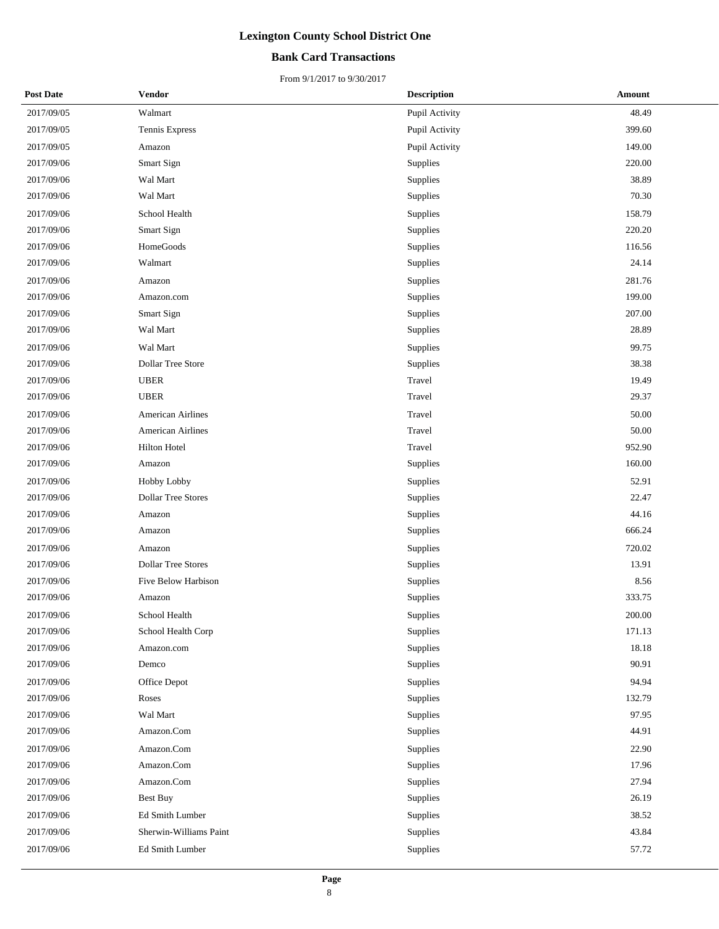#### **Bank Card Transactions**

| <b>Post Date</b> | <b>Vendor</b>             | <b>Description</b> | Amount     |
|------------------|---------------------------|--------------------|------------|
| 2017/09/05       | Walmart                   | Pupil Activity     | 48.49      |
| 2017/09/05       | Tennis Express            | Pupil Activity     | 399.60     |
| 2017/09/05       | Amazon                    | Pupil Activity     | 149.00     |
| 2017/09/06       | Smart Sign                | Supplies           | 220.00     |
| 2017/09/06       | Wal Mart                  | Supplies           | 38.89      |
| 2017/09/06       | Wal Mart                  | Supplies           | 70.30      |
| 2017/09/06       | School Health             | Supplies           | 158.79     |
| 2017/09/06       | Smart Sign                | <b>Supplies</b>    | 220.20     |
| 2017/09/06       | HomeGoods                 | Supplies           | 116.56     |
| 2017/09/06       | Walmart                   | Supplies           | 24.14      |
| 2017/09/06       | Amazon                    | Supplies           | 281.76     |
| 2017/09/06       | Amazon.com                | Supplies           | 199.00     |
| 2017/09/06       | Smart Sign                | Supplies           | 207.00     |
| 2017/09/06       | Wal Mart                  | Supplies           | 28.89      |
| 2017/09/06       | Wal Mart                  | Supplies           | 99.75      |
| 2017/09/06       | Dollar Tree Store         | Supplies           | 38.38      |
| 2017/09/06       | <b>UBER</b>               | Travel             | 19.49      |
| 2017/09/06       | <b>UBER</b>               | Travel             | 29.37      |
| 2017/09/06       | <b>American Airlines</b>  | Travel             | 50.00      |
| 2017/09/06       | American Airlines         | Travel             | 50.00      |
| 2017/09/06       | Hilton Hotel              | Travel             | 952.90     |
| 2017/09/06       | Amazon                    | Supplies           | 160.00     |
| 2017/09/06       | Hobby Lobby               | Supplies           | 52.91      |
| 2017/09/06       | <b>Dollar Tree Stores</b> | Supplies           | 22.47      |
| 2017/09/06       | Amazon                    | Supplies           | 44.16      |
| 2017/09/06       | Amazon                    | Supplies           | 666.24     |
| 2017/09/06       | Amazon                    | Supplies           | 720.02     |
| 2017/09/06       | <b>Dollar Tree Stores</b> | Supplies           | 13.91      |
| 2017/09/06       | Five Below Harbison       | Supplies           | 8.56       |
| 2017/09/06       | Amazon                    | Supplies           | 333.75     |
| 2017/09/06       | School Health             | Supplies           | $200.00\,$ |
| 2017/09/06       | School Health Corp        | Supplies           | 171.13     |
| 2017/09/06       | Amazon.com                | Supplies           | 18.18      |
| 2017/09/06       | Demco                     | Supplies           | 90.91      |
| 2017/09/06       | Office Depot              | Supplies           | 94.94      |
| 2017/09/06       | Roses                     | Supplies           | 132.79     |
| 2017/09/06       | Wal Mart                  | Supplies           | 97.95      |
| 2017/09/06       | Amazon.Com                | Supplies           | 44.91      |
| 2017/09/06       | Amazon.Com                | Supplies           | 22.90      |
| 2017/09/06       | Amazon.Com                | Supplies           | 17.96      |
| 2017/09/06       | Amazon.Com                | Supplies           | 27.94      |
| 2017/09/06       | Best Buy                  | Supplies           | 26.19      |
| 2017/09/06       | Ed Smith Lumber           | Supplies           | 38.52      |
| 2017/09/06       | Sherwin-Williams Paint    | Supplies           | 43.84      |
| 2017/09/06       | Ed Smith Lumber           | Supplies           | 57.72      |
|                  |                           |                    |            |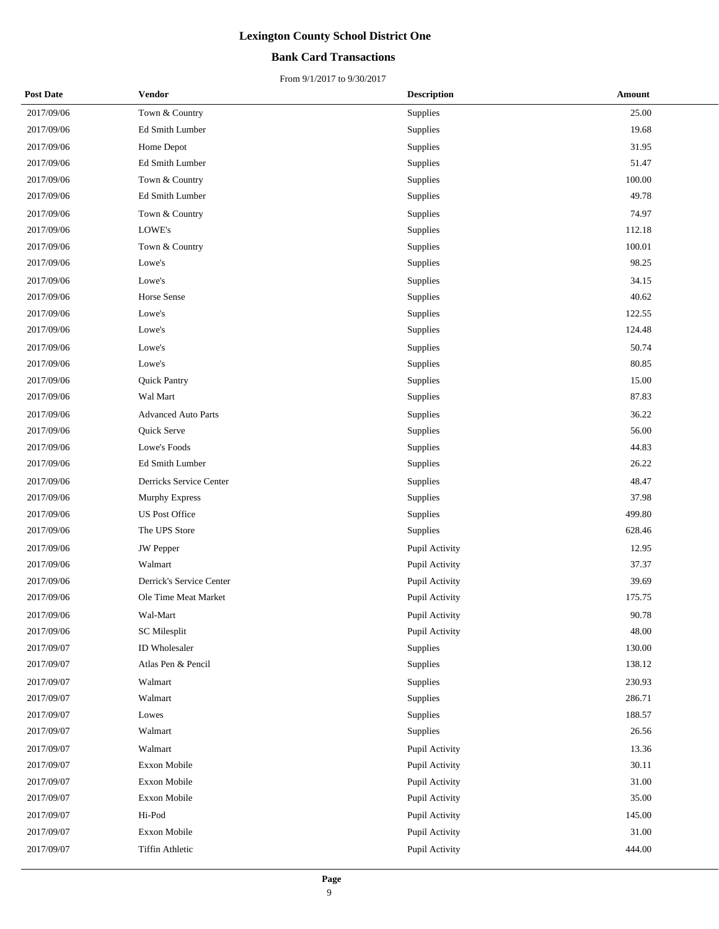#### **Bank Card Transactions**

| <b>Post Date</b> | <b>Vendor</b>              | <b>Description</b> | <b>Amount</b> |
|------------------|----------------------------|--------------------|---------------|
| 2017/09/06       | Town & Country             | Supplies           | 25.00         |
| 2017/09/06       | Ed Smith Lumber            | Supplies           | 19.68         |
| 2017/09/06       | Home Depot                 | Supplies           | 31.95         |
| 2017/09/06       | Ed Smith Lumber            | Supplies           | 51.47         |
| 2017/09/06       | Town & Country             | Supplies           | 100.00        |
| 2017/09/06       | Ed Smith Lumber            | Supplies           | 49.78         |
| 2017/09/06       | Town & Country             | Supplies           | 74.97         |
| 2017/09/06       | LOWE's                     | Supplies           | 112.18        |
| 2017/09/06       | Town & Country             | Supplies           | 100.01        |
| 2017/09/06       | Lowe's                     | Supplies           | 98.25         |
| 2017/09/06       | Lowe's                     | Supplies           | 34.15         |
| 2017/09/06       | Horse Sense                | Supplies           | 40.62         |
| 2017/09/06       | Lowe's                     | Supplies           | 122.55        |
| 2017/09/06       | Lowe's                     | Supplies           | 124.48        |
| 2017/09/06       | Lowe's                     | Supplies           | 50.74         |
| 2017/09/06       | Lowe's                     | Supplies           | 80.85         |
| 2017/09/06       | <b>Quick Pantry</b>        | Supplies           | 15.00         |
| 2017/09/06       | Wal Mart                   | Supplies           | 87.83         |
| 2017/09/06       | <b>Advanced Auto Parts</b> | Supplies           | 36.22         |
| 2017/09/06       | Quick Serve                | Supplies           | 56.00         |
| 2017/09/06       | Lowe's Foods               | Supplies           | 44.83         |
| 2017/09/06       | Ed Smith Lumber            | Supplies           | 26.22         |
| 2017/09/06       | Derricks Service Center    | Supplies           | 48.47         |
| 2017/09/06       | Murphy Express             | Supplies           | 37.98         |
| 2017/09/06       | <b>US Post Office</b>      | Supplies           | 499.80        |
| 2017/09/06       | The UPS Store              | Supplies           | 628.46        |
| 2017/09/06       | <b>JW</b> Pepper           | Pupil Activity     | 12.95         |
| 2017/09/06       | Walmart                    | Pupil Activity     | 37.37         |
| 2017/09/06       | Derrick's Service Center   | Pupil Activity     | 39.69         |
| 2017/09/06       | Ole Time Meat Market       | Pupil Activity     | 175.75        |
| 2017/09/06       | Wal-Mart                   | Pupil Activity     | 90.78         |
| 2017/09/06       | <b>SC</b> Milesplit        | Pupil Activity     | 48.00         |
| 2017/09/07       | ID Wholesaler              | Supplies           | 130.00        |
| 2017/09/07       | Atlas Pen & Pencil         | Supplies           | 138.12        |
| 2017/09/07       | Walmart                    | Supplies           | 230.93        |
| 2017/09/07       | Walmart                    | Supplies           | 286.71        |
| 2017/09/07       | Lowes                      | Supplies           | 188.57        |
| 2017/09/07       | Walmart                    | Supplies           | 26.56         |
| 2017/09/07       | Walmart                    | Pupil Activity     | 13.36         |
| 2017/09/07       | Exxon Mobile               | Pupil Activity     | 30.11         |
| 2017/09/07       | Exxon Mobile               | Pupil Activity     | $31.00\,$     |
| 2017/09/07       | Exxon Mobile               | Pupil Activity     | 35.00         |
| 2017/09/07       | Hi-Pod                     | Pupil Activity     | 145.00        |
| 2017/09/07       | Exxon Mobile               | Pupil Activity     | 31.00         |
| 2017/09/07       | <b>Tiffin Athletic</b>     | Pupil Activity     | 444.00        |
|                  |                            |                    |               |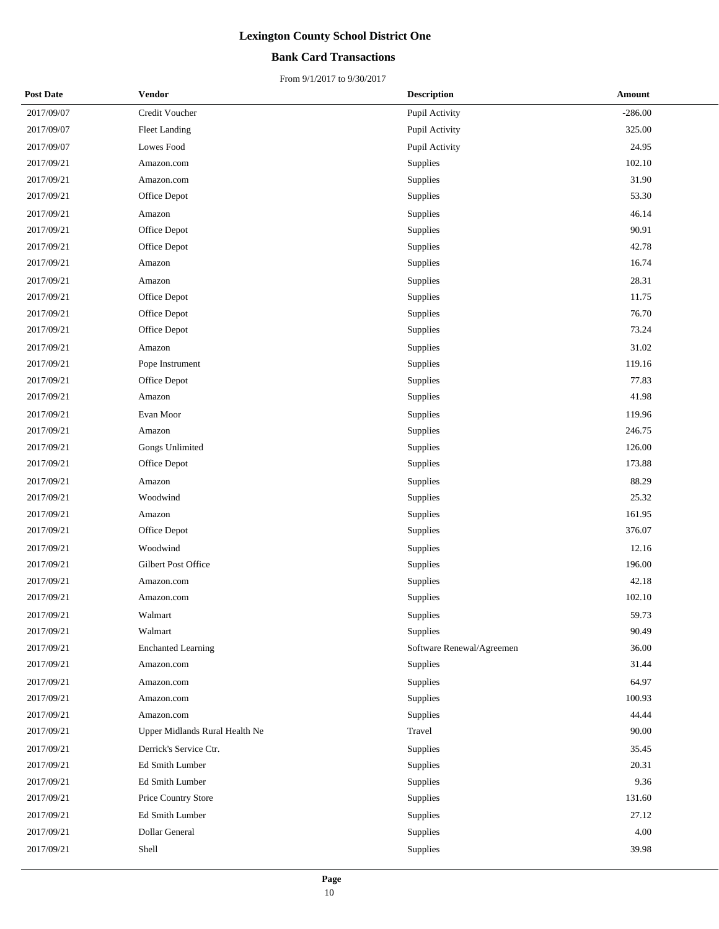#### **Bank Card Transactions**

| <b>Post Date</b> | <b>Vendor</b>                  | <b>Description</b>        | Amount    |
|------------------|--------------------------------|---------------------------|-----------|
| 2017/09/07       | Credit Voucher                 | Pupil Activity            | $-286.00$ |
| 2017/09/07       | <b>Fleet Landing</b>           | Pupil Activity            | 325.00    |
| 2017/09/07       | Lowes Food                     | Pupil Activity            | 24.95     |
| 2017/09/21       | Amazon.com                     | Supplies                  | 102.10    |
| 2017/09/21       | Amazon.com                     | Supplies                  | 31.90     |
| 2017/09/21       | Office Depot                   | Supplies                  | 53.30     |
| 2017/09/21       | Amazon                         | Supplies                  | 46.14     |
| 2017/09/21       | Office Depot                   | Supplies                  | 90.91     |
| 2017/09/21       | Office Depot                   | Supplies                  | 42.78     |
| 2017/09/21       | Amazon                         | Supplies                  | 16.74     |
| 2017/09/21       | Amazon                         | Supplies                  | 28.31     |
| 2017/09/21       | Office Depot                   | Supplies                  | 11.75     |
| 2017/09/21       | Office Depot                   | Supplies                  | 76.70     |
| 2017/09/21       | Office Depot                   | Supplies                  | 73.24     |
| 2017/09/21       | Amazon                         | Supplies                  | 31.02     |
| 2017/09/21       | Pope Instrument                | Supplies                  | 119.16    |
| 2017/09/21       | Office Depot                   | Supplies                  | 77.83     |
| 2017/09/21       | Amazon                         | Supplies                  | 41.98     |
| 2017/09/21       | Evan Moor                      | Supplies                  | 119.96    |
| 2017/09/21       | Amazon                         | Supplies                  | 246.75    |
| 2017/09/21       | Gongs Unlimited                | Supplies                  | 126.00    |
| 2017/09/21       | Office Depot                   | Supplies                  | 173.88    |
| 2017/09/21       | Amazon                         | Supplies                  | 88.29     |
| 2017/09/21       | Woodwind                       | Supplies                  | 25.32     |
| 2017/09/21       | Amazon                         | Supplies                  | 161.95    |
| 2017/09/21       | Office Depot                   | Supplies                  | 376.07    |
| 2017/09/21       | Woodwind                       | Supplies                  | 12.16     |
| 2017/09/21       | Gilbert Post Office            | Supplies                  | 196.00    |
| 2017/09/21       | Amazon.com                     | Supplies                  | 42.18     |
| 2017/09/21       | Amazon.com                     | Supplies                  | 102.10    |
| 2017/09/21       | Walmart                        | Supplies                  | 59.73     |
| 2017/09/21       | Walmart                        | Supplies                  | 90.49     |
| 2017/09/21       | <b>Enchanted Learning</b>      | Software Renewal/Agreemen | 36.00     |
| 2017/09/21       | Amazon.com                     | Supplies                  | 31.44     |
| 2017/09/21       | Amazon.com                     | Supplies                  | 64.97     |
| 2017/09/21       | Amazon.com                     | Supplies                  | 100.93    |
| 2017/09/21       | Amazon.com                     | Supplies                  | 44.44     |
| 2017/09/21       | Upper Midlands Rural Health Ne | Travel                    | 90.00     |
| 2017/09/21       | Derrick's Service Ctr.         | Supplies                  | 35.45     |
| 2017/09/21       | Ed Smith Lumber                | Supplies                  | 20.31     |
| 2017/09/21       | Ed Smith Lumber                | Supplies                  | 9.36      |
| 2017/09/21       | Price Country Store            | Supplies                  | 131.60    |
| 2017/09/21       | Ed Smith Lumber                | Supplies                  | 27.12     |
| 2017/09/21       | Dollar General                 | Supplies                  | 4.00      |
| 2017/09/21       | Shell                          | Supplies                  | 39.98     |
|                  |                                |                           |           |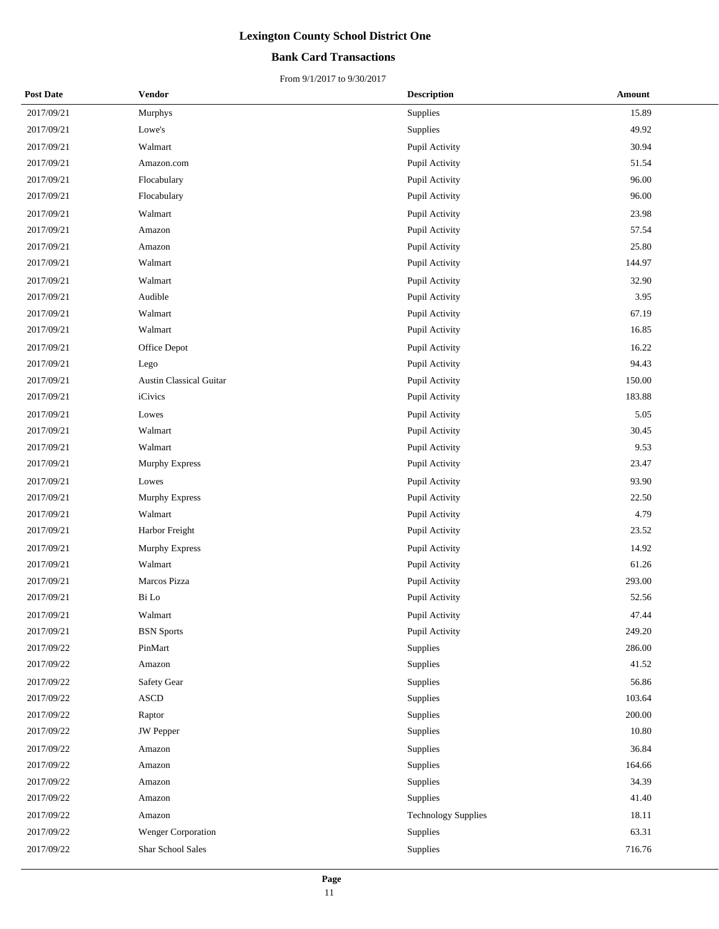#### **Bank Card Transactions**

| <b>Post Date</b> | <b>Vendor</b>                  | <b>Description</b>         | Amount |
|------------------|--------------------------------|----------------------------|--------|
| 2017/09/21       | Murphys                        | Supplies                   | 15.89  |
| 2017/09/21       | Lowe's                         | Supplies                   | 49.92  |
| 2017/09/21       | Walmart                        | Pupil Activity             | 30.94  |
| 2017/09/21       | Amazon.com                     | Pupil Activity             | 51.54  |
| 2017/09/21       | Flocabulary                    | Pupil Activity             | 96.00  |
| 2017/09/21       | Flocabulary                    | Pupil Activity             | 96.00  |
| 2017/09/21       | Walmart                        | Pupil Activity             | 23.98  |
| 2017/09/21       | Amazon                         | Pupil Activity             | 57.54  |
| 2017/09/21       | Amazon                         | Pupil Activity             | 25.80  |
| 2017/09/21       | Walmart                        | Pupil Activity             | 144.97 |
| 2017/09/21       | Walmart                        | Pupil Activity             | 32.90  |
| 2017/09/21       | Audible                        | Pupil Activity             | 3.95   |
| 2017/09/21       | Walmart                        | Pupil Activity             | 67.19  |
| 2017/09/21       | Walmart                        | Pupil Activity             | 16.85  |
| 2017/09/21       | Office Depot                   | Pupil Activity             | 16.22  |
| 2017/09/21       | Lego                           | Pupil Activity             | 94.43  |
| 2017/09/21       | <b>Austin Classical Guitar</b> | Pupil Activity             | 150.00 |
| 2017/09/21       | iCivics                        | Pupil Activity             | 183.88 |
| 2017/09/21       | Lowes                          | Pupil Activity             | 5.05   |
| 2017/09/21       | Walmart                        | Pupil Activity             | 30.45  |
| 2017/09/21       | Walmart                        | Pupil Activity             | 9.53   |
| 2017/09/21       | Murphy Express                 | Pupil Activity             | 23.47  |
| 2017/09/21       | Lowes                          | Pupil Activity             | 93.90  |
| 2017/09/21       | Murphy Express                 | Pupil Activity             | 22.50  |
| 2017/09/21       | Walmart                        | Pupil Activity             | 4.79   |
| 2017/09/21       | Harbor Freight                 | Pupil Activity             | 23.52  |
| 2017/09/21       | <b>Murphy Express</b>          | Pupil Activity             | 14.92  |
| 2017/09/21       | Walmart                        | Pupil Activity             | 61.26  |
| 2017/09/21       | Marcos Pizza                   | Pupil Activity             | 293.00 |
| 2017/09/21       | Bi Lo                          | Pupil Activity             | 52.56  |
| 2017/09/21       | Walmart                        | Pupil Activity             | 47.44  |
| 2017/09/21       | <b>BSN</b> Sports              | Pupil Activity             | 249.20 |
| 2017/09/22       | PinMart                        | Supplies                   | 286.00 |
| 2017/09/22       | Amazon                         | Supplies                   | 41.52  |
| 2017/09/22       | Safety Gear                    | Supplies                   | 56.86  |
| 2017/09/22       | ASCD                           | Supplies                   | 103.64 |
| 2017/09/22       | Raptor                         | Supplies                   | 200.00 |
| 2017/09/22       | <b>JW</b> Pepper               | Supplies                   | 10.80  |
| 2017/09/22       | Amazon                         | Supplies                   | 36.84  |
| 2017/09/22       | Amazon                         | Supplies                   | 164.66 |
| 2017/09/22       | Amazon                         | Supplies                   | 34.39  |
| 2017/09/22       | Amazon                         | Supplies                   | 41.40  |
| 2017/09/22       | Amazon                         | <b>Technology Supplies</b> | 18.11  |
| 2017/09/22       | Wenger Corporation             | Supplies                   | 63.31  |
| 2017/09/22       | Shar School Sales              | Supplies                   | 716.76 |
|                  |                                |                            |        |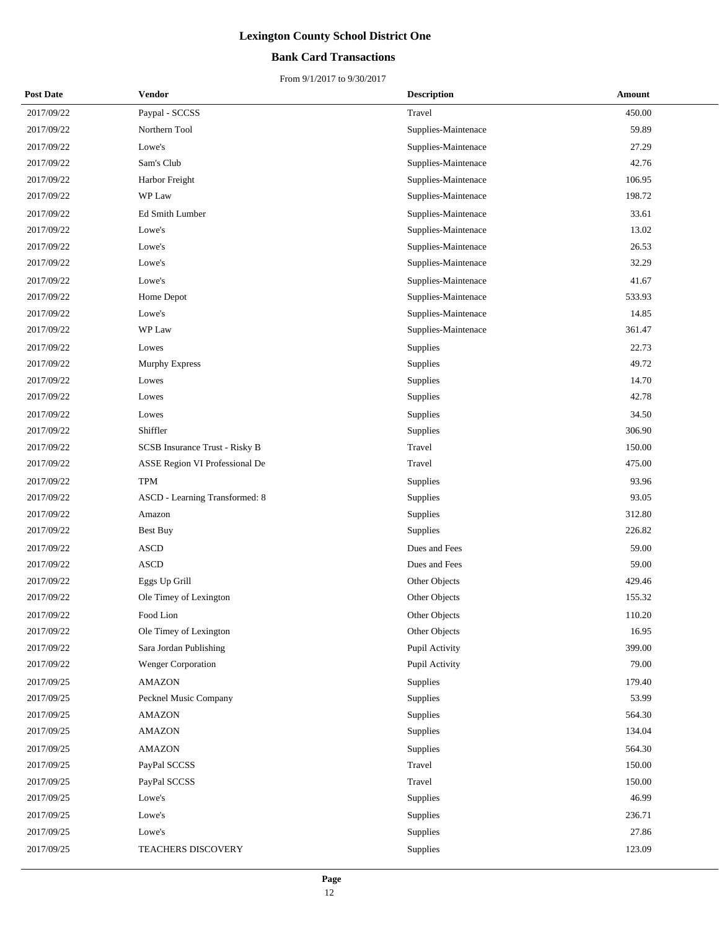#### **Bank Card Transactions**

| <b>Post Date</b> | Vendor                         | <b>Description</b>  | Amount |
|------------------|--------------------------------|---------------------|--------|
| 2017/09/22       | Paypal - SCCSS                 | Travel              | 450.00 |
| 2017/09/22       | Northern Tool                  | Supplies-Maintenace | 59.89  |
| 2017/09/22       | Lowe's                         | Supplies-Maintenace | 27.29  |
| 2017/09/22       | Sam's Club                     | Supplies-Maintenace | 42.76  |
| 2017/09/22       | Harbor Freight                 | Supplies-Maintenace | 106.95 |
| 2017/09/22       | WP Law                         | Supplies-Maintenace | 198.72 |
| 2017/09/22       | Ed Smith Lumber                | Supplies-Maintenace | 33.61  |
| 2017/09/22       | Lowe's                         | Supplies-Maintenace | 13.02  |
| 2017/09/22       | Lowe's                         | Supplies-Maintenace | 26.53  |
| 2017/09/22       | Lowe's                         | Supplies-Maintenace | 32.29  |
| 2017/09/22       | Lowe's                         | Supplies-Maintenace | 41.67  |
| 2017/09/22       | Home Depot                     | Supplies-Maintenace | 533.93 |
| 2017/09/22       | Lowe's                         | Supplies-Maintenace | 14.85  |
| 2017/09/22       | WP Law                         | Supplies-Maintenace | 361.47 |
| 2017/09/22       | Lowes                          | Supplies            | 22.73  |
| 2017/09/22       | <b>Murphy Express</b>          | Supplies            | 49.72  |
| 2017/09/22       | Lowes                          | Supplies            | 14.70  |
| 2017/09/22       | Lowes                          | Supplies            | 42.78  |
| 2017/09/22       | Lowes                          | Supplies            | 34.50  |
| 2017/09/22       | Shiffler                       | Supplies            | 306.90 |
| 2017/09/22       | SCSB Insurance Trust - Risky B | Travel              | 150.00 |
| 2017/09/22       | ASSE Region VI Professional De | Travel              | 475.00 |
| 2017/09/22       | TPM                            | Supplies            | 93.96  |
| 2017/09/22       | ASCD - Learning Transformed: 8 | Supplies            | 93.05  |
| 2017/09/22       | Amazon                         | Supplies            | 312.80 |
| 2017/09/22       | <b>Best Buy</b>                | Supplies            | 226.82 |
| 2017/09/22       | <b>ASCD</b>                    | Dues and Fees       | 59.00  |
| 2017/09/22       | <b>ASCD</b>                    | Dues and Fees       | 59.00  |
| 2017/09/22       | Eggs Up Grill                  | Other Objects       | 429.46 |
| 2017/09/22       | Ole Timey of Lexington         | Other Objects       | 155.32 |
| 2017/09/22       | Food Lion                      | Other Objects       | 110.20 |
| 2017/09/22       | Ole Timey of Lexington         | Other Objects       | 16.95  |
| 2017/09/22       | Sara Jordan Publishing         | Pupil Activity      | 399.00 |
| 2017/09/22       | Wenger Corporation             | Pupil Activity      | 79.00  |
| 2017/09/25       | AMAZON                         | Supplies            | 179.40 |
| 2017/09/25       | Pecknel Music Company          | Supplies            | 53.99  |
| 2017/09/25       | <b>AMAZON</b>                  | Supplies            | 564.30 |
| 2017/09/25       | <b>AMAZON</b>                  | Supplies            | 134.04 |
| 2017/09/25       | <b>AMAZON</b>                  | Supplies            | 564.30 |
| 2017/09/25       | PayPal SCCSS                   | Travel              | 150.00 |
| 2017/09/25       | PayPal SCCSS                   | Travel              | 150.00 |
| 2017/09/25       | Lowe's                         | Supplies            | 46.99  |
| 2017/09/25       | Lowe's                         | Supplies            | 236.71 |
| 2017/09/25       | Lowe's                         | Supplies            | 27.86  |
| 2017/09/25       | TEACHERS DISCOVERY             | Supplies            | 123.09 |
|                  |                                |                     |        |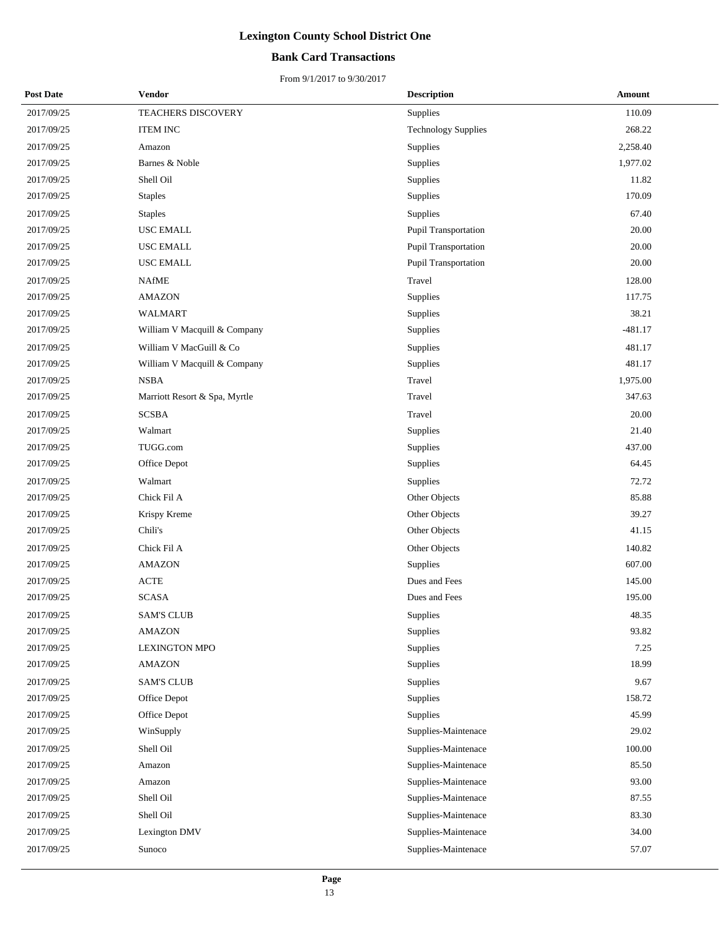#### **Bank Card Transactions**

| <b>Post Date</b> | Vendor                        | <b>Description</b>          | <b>Amount</b> |
|------------------|-------------------------------|-----------------------------|---------------|
| 2017/09/25       | TEACHERS DISCOVERY            | Supplies                    | 110.09        |
| 2017/09/25       | <b>ITEM INC</b>               | <b>Technology Supplies</b>  | 268.22        |
| 2017/09/25       | Amazon                        | Supplies                    | 2,258.40      |
| 2017/09/25       | Barnes & Noble                | Supplies                    | 1,977.02      |
| 2017/09/25       | Shell Oil                     | Supplies                    | 11.82         |
| 2017/09/25       | <b>Staples</b>                | Supplies                    | 170.09        |
| 2017/09/25       | <b>Staples</b>                | Supplies                    | 67.40         |
| 2017/09/25       | <b>USC EMALL</b>              | Pupil Transportation        | 20.00         |
| 2017/09/25       | <b>USC EMALL</b>              | <b>Pupil Transportation</b> | 20.00         |
| 2017/09/25       | USC EMALL                     | Pupil Transportation        | 20.00         |
| 2017/09/25       | <b>NAfME</b>                  | Travel                      | 128.00        |
| 2017/09/25       | <b>AMAZON</b>                 | Supplies                    | 117.75        |
| 2017/09/25       | WALMART                       | Supplies                    | 38.21         |
| 2017/09/25       | William V Macquill & Company  | Supplies                    | $-481.17$     |
| 2017/09/25       | William V MacGuill & Co       | Supplies                    | 481.17        |
| 2017/09/25       | William V Macquill & Company  | Supplies                    | 481.17        |
| 2017/09/25       | <b>NSBA</b>                   | Travel                      | 1,975.00      |
| 2017/09/25       | Marriott Resort & Spa, Myrtle | Travel                      | 347.63        |
| 2017/09/25       | <b>SCSBA</b>                  | Travel                      | 20.00         |
| 2017/09/25       | Walmart                       | Supplies                    | 21.40         |
| 2017/09/25       | TUGG.com                      | Supplies                    | 437.00        |
| 2017/09/25       | Office Depot                  | Supplies                    | 64.45         |
| 2017/09/25       | Walmart                       | Supplies                    | 72.72         |
| 2017/09/25       | Chick Fil A                   | Other Objects               | 85.88         |
| 2017/09/25       | Krispy Kreme                  | Other Objects               | 39.27         |
| 2017/09/25       | Chili's                       | Other Objects               | 41.15         |
| 2017/09/25       | Chick Fil A                   | Other Objects               | 140.82        |
| 2017/09/25       | <b>AMAZON</b>                 | Supplies                    | 607.00        |
| 2017/09/25       | <b>ACTE</b>                   | Dues and Fees               | 145.00        |
| 2017/09/25       | <b>SCASA</b>                  | Dues and Fees               | 195.00        |
| 2017/09/25       | <b>SAM'S CLUB</b>             | Supplies                    | 48.35         |
| 2017/09/25       | <b>AMAZON</b>                 | Supplies                    | 93.82         |
| 2017/09/25       | <b>LEXINGTON MPO</b>          | Supplies                    | 7.25          |
| 2017/09/25       | <b>AMAZON</b>                 | Supplies                    | 18.99         |
| 2017/09/25       | <b>SAM'S CLUB</b>             | Supplies                    | 9.67          |
| 2017/09/25       | Office Depot                  | Supplies                    | 158.72        |
| 2017/09/25       | Office Depot                  | Supplies                    | 45.99         |
| 2017/09/25       | WinSupply                     | Supplies-Maintenace         | 29.02         |
| 2017/09/25       | Shell Oil                     | Supplies-Maintenace         | 100.00        |
| 2017/09/25       | Amazon                        | Supplies-Maintenace         | 85.50         |
| 2017/09/25       | Amazon                        | Supplies-Maintenace         | 93.00         |
| 2017/09/25       | Shell Oil                     | Supplies-Maintenace         | 87.55         |
| 2017/09/25       | Shell Oil                     | Supplies-Maintenace         | 83.30         |
| 2017/09/25       | Lexington DMV                 | Supplies-Maintenace         | 34.00         |
| 2017/09/25       | Sunoco                        | Supplies-Maintenace         | 57.07         |
|                  |                               |                             |               |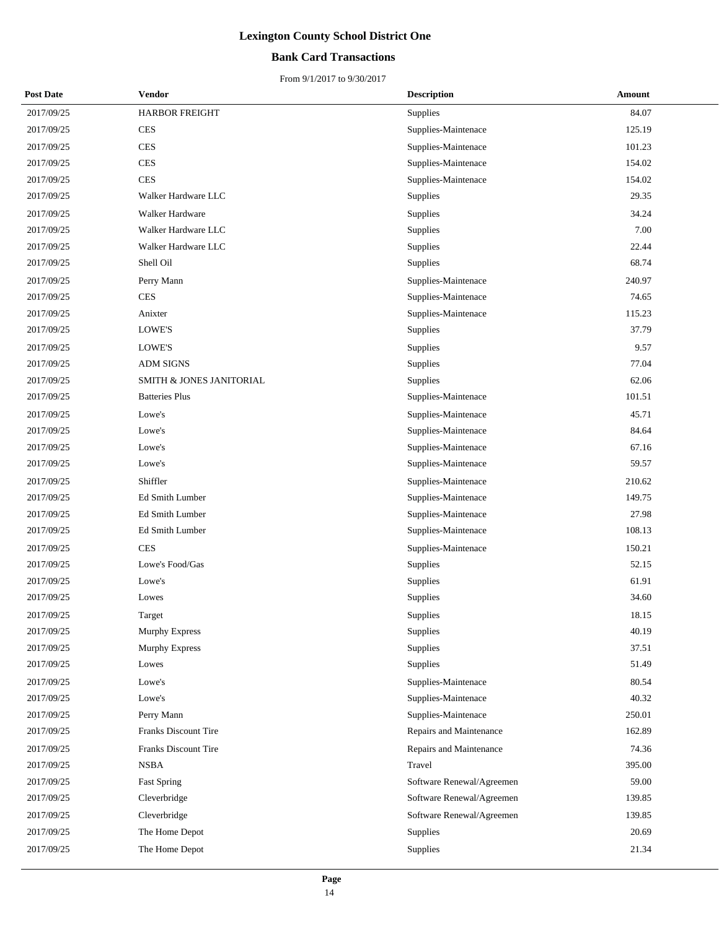#### **Bank Card Transactions**

| <b>Post Date</b> | Vendor                   | <b>Description</b>        | <b>Amount</b> |
|------------------|--------------------------|---------------------------|---------------|
| 2017/09/25       | <b>HARBOR FREIGHT</b>    | Supplies                  | 84.07         |
| 2017/09/25       | <b>CES</b>               | Supplies-Maintenace       | 125.19        |
| 2017/09/25       | <b>CES</b>               | Supplies-Maintenace       | 101.23        |
| 2017/09/25       | <b>CES</b>               | Supplies-Maintenace       | 154.02        |
| 2017/09/25       | <b>CES</b>               | Supplies-Maintenace       | 154.02        |
| 2017/09/25       | Walker Hardware LLC      | Supplies                  | 29.35         |
| 2017/09/25       | Walker Hardware          | Supplies                  | 34.24         |
| 2017/09/25       | Walker Hardware LLC      | Supplies                  | 7.00          |
| 2017/09/25       | Walker Hardware LLC      | Supplies                  | 22.44         |
| 2017/09/25       | Shell Oil                | Supplies                  | 68.74         |
| 2017/09/25       | Perry Mann               | Supplies-Maintenace       | 240.97        |
| 2017/09/25       | <b>CES</b>               | Supplies-Maintenace       | 74.65         |
| 2017/09/25       | Anixter                  | Supplies-Maintenace       | 115.23        |
| 2017/09/25       | LOWE'S                   | Supplies                  | 37.79         |
| 2017/09/25       | LOWE'S                   | Supplies                  | 9.57          |
| 2017/09/25       | <b>ADM SIGNS</b>         | Supplies                  | 77.04         |
| 2017/09/25       | SMITH & JONES JANITORIAL | Supplies                  | 62.06         |
| 2017/09/25       | <b>Batteries Plus</b>    | Supplies-Maintenace       | 101.51        |
| 2017/09/25       | Lowe's                   | Supplies-Maintenace       | 45.71         |
| 2017/09/25       | Lowe's                   | Supplies-Maintenace       | 84.64         |
| 2017/09/25       | Lowe's                   | Supplies-Maintenace       | 67.16         |
| 2017/09/25       | Lowe's                   | Supplies-Maintenace       | 59.57         |
| 2017/09/25       | Shiffler                 | Supplies-Maintenace       | 210.62        |
| 2017/09/25       | Ed Smith Lumber          | Supplies-Maintenace       | 149.75        |
| 2017/09/25       | Ed Smith Lumber          | Supplies-Maintenace       | 27.98         |
| 2017/09/25       | Ed Smith Lumber          | Supplies-Maintenace       | 108.13        |
| 2017/09/25       | <b>CES</b>               | Supplies-Maintenace       | 150.21        |
| 2017/09/25       | Lowe's Food/Gas          | Supplies                  | 52.15         |
| 2017/09/25       | Lowe's                   | Supplies                  | 61.91         |
| 2017/09/25       | Lowes                    | Supplies                  | 34.60         |
| 2017/09/25       | Target                   | Supplies                  | 18.15         |
| 2017/09/25       | Murphy Express           | Supplies                  | 40.19         |
| 2017/09/25       | <b>Murphy Express</b>    | Supplies                  | 37.51         |
| 2017/09/25       | Lowes                    | Supplies                  | 51.49         |
| 2017/09/25       | Lowe's                   | Supplies-Maintenace       | 80.54         |
| 2017/09/25       | Lowe's                   | Supplies-Maintenace       | 40.32         |
| 2017/09/25       | Perry Mann               | Supplies-Maintenace       | 250.01        |
| 2017/09/25       | Franks Discount Tire     | Repairs and Maintenance   | 162.89        |
| 2017/09/25       | Franks Discount Tire     | Repairs and Maintenance   | 74.36         |
| 2017/09/25       | <b>NSBA</b>              | Travel                    | 395.00        |
| 2017/09/25       | <b>Fast Spring</b>       | Software Renewal/Agreemen | 59.00         |
| 2017/09/25       | Cleverbridge             | Software Renewal/Agreemen | 139.85        |
| 2017/09/25       | Cleverbridge             | Software Renewal/Agreemen | 139.85        |
| 2017/09/25       | The Home Depot           | Supplies                  | 20.69         |
| 2017/09/25       | The Home Depot           | Supplies                  | 21.34         |
|                  |                          |                           |               |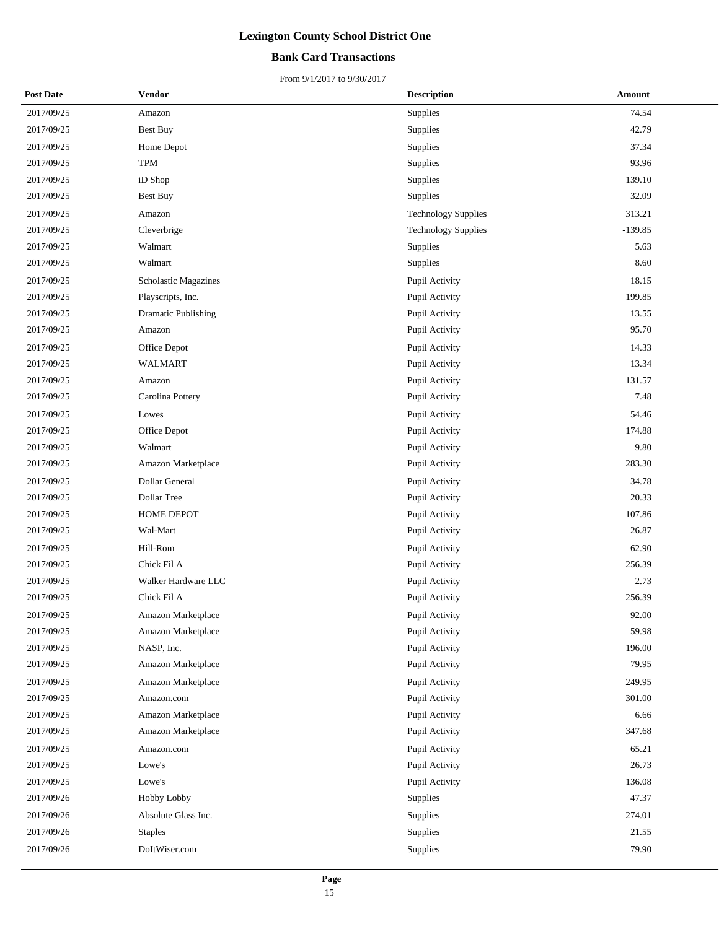#### **Bank Card Transactions**

| <b>Post Date</b> | <b>Vendor</b>               | <b>Description</b>         | Amount    |
|------------------|-----------------------------|----------------------------|-----------|
| 2017/09/25       | Amazon                      | Supplies                   | 74.54     |
| 2017/09/25       | Best Buy                    | Supplies                   | 42.79     |
| 2017/09/25       | Home Depot                  | Supplies                   | 37.34     |
| 2017/09/25       | <b>TPM</b>                  | Supplies                   | 93.96     |
| 2017/09/25       | iD Shop                     | Supplies                   | 139.10    |
| 2017/09/25       | <b>Best Buy</b>             | Supplies                   | 32.09     |
| 2017/09/25       | Amazon                      | <b>Technology Supplies</b> | 313.21    |
| 2017/09/25       | Cleverbrige                 | <b>Technology Supplies</b> | $-139.85$ |
| 2017/09/25       | Walmart                     | Supplies                   | 5.63      |
| 2017/09/25       | Walmart                     | Supplies                   | 8.60      |
| 2017/09/25       | <b>Scholastic Magazines</b> | Pupil Activity             | 18.15     |
| 2017/09/25       | Playscripts, Inc.           | Pupil Activity             | 199.85    |
| 2017/09/25       | <b>Dramatic Publishing</b>  | Pupil Activity             | 13.55     |
| 2017/09/25       | Amazon                      | Pupil Activity             | 95.70     |
| 2017/09/25       | Office Depot                | Pupil Activity             | 14.33     |
| 2017/09/25       | <b>WALMART</b>              | Pupil Activity             | 13.34     |
| 2017/09/25       | Amazon                      | Pupil Activity             | 131.57    |
| 2017/09/25       | Carolina Pottery            | Pupil Activity             | 7.48      |
| 2017/09/25       | Lowes                       | Pupil Activity             | 54.46     |
| 2017/09/25       | Office Depot                | Pupil Activity             | 174.88    |
| 2017/09/25       | Walmart                     | Pupil Activity             | 9.80      |
| 2017/09/25       | Amazon Marketplace          | Pupil Activity             | 283.30    |
| 2017/09/25       | <b>Dollar General</b>       | Pupil Activity             | 34.78     |
| 2017/09/25       | Dollar Tree                 | Pupil Activity             | 20.33     |
| 2017/09/25       | HOME DEPOT                  | Pupil Activity             | 107.86    |
| 2017/09/25       | Wal-Mart                    | Pupil Activity             | 26.87     |
| 2017/09/25       | Hill-Rom                    | Pupil Activity             | 62.90     |
| 2017/09/25       | Chick Fil A                 | Pupil Activity             | 256.39    |
| 2017/09/25       | Walker Hardware LLC         | Pupil Activity             | 2.73      |
| 2017/09/25       | Chick Fil A                 | Pupil Activity             | 256.39    |
| 2017/09/25       | Amazon Marketplace          | Pupil Activity             | 92.00     |
| 2017/09/25       | Amazon Marketplace          | Pupil Activity             | 59.98     |
| 2017/09/25       | NASP, Inc.                  | Pupil Activity             | 196.00    |
| 2017/09/25       | Amazon Marketplace          | Pupil Activity             | 79.95     |
| 2017/09/25       | Amazon Marketplace          | Pupil Activity             | 249.95    |
| 2017/09/25       | Amazon.com                  | Pupil Activity             | 301.00    |
| 2017/09/25       | Amazon Marketplace          | Pupil Activity             | 6.66      |
| 2017/09/25       | Amazon Marketplace          | Pupil Activity             | 347.68    |
| 2017/09/25       | Amazon.com                  | Pupil Activity             | 65.21     |
| 2017/09/25       | Lowe's                      | Pupil Activity             | 26.73     |
| 2017/09/25       | Lowe's                      | Pupil Activity             | 136.08    |
| 2017/09/26       | Hobby Lobby                 | Supplies                   | 47.37     |
| 2017/09/26       | Absolute Glass Inc.         | Supplies                   | 274.01    |
| 2017/09/26       | <b>Staples</b>              | Supplies                   | 21.55     |
| 2017/09/26       | DoItWiser.com               | Supplies                   | 79.90     |
|                  |                             |                            |           |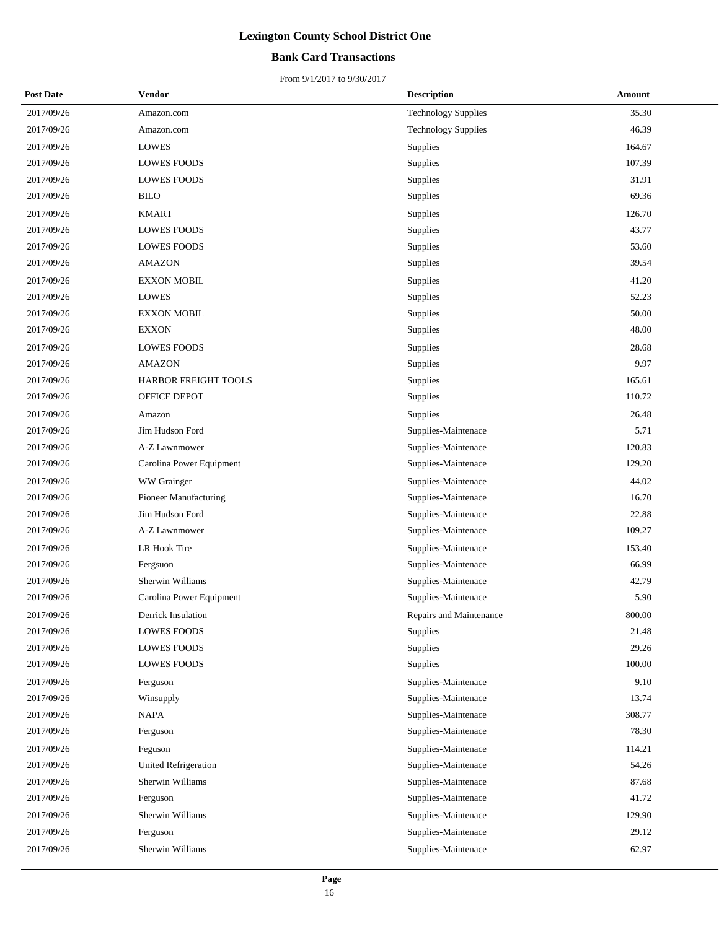#### **Bank Card Transactions**

| <b>Post Date</b> | Vendor                      | <b>Description</b>         | <b>Amount</b> |
|------------------|-----------------------------|----------------------------|---------------|
| 2017/09/26       | Amazon.com                  | <b>Technology Supplies</b> | 35.30         |
| 2017/09/26       | Amazon.com                  | <b>Technology Supplies</b> | 46.39         |
| 2017/09/26       | <b>LOWES</b>                | Supplies                   | 164.67        |
| 2017/09/26       | <b>LOWES FOODS</b>          | Supplies                   | 107.39        |
| 2017/09/26       | <b>LOWES FOODS</b>          | Supplies                   | 31.91         |
| 2017/09/26       | <b>BILO</b>                 | Supplies                   | 69.36         |
| 2017/09/26       | <b>KMART</b>                | Supplies                   | 126.70        |
| 2017/09/26       | <b>LOWES FOODS</b>          | Supplies                   | 43.77         |
| 2017/09/26       | <b>LOWES FOODS</b>          | Supplies                   | 53.60         |
| 2017/09/26       | <b>AMAZON</b>               | Supplies                   | 39.54         |
| 2017/09/26       | <b>EXXON MOBIL</b>          | Supplies                   | 41.20         |
| 2017/09/26       | <b>LOWES</b>                | Supplies                   | 52.23         |
| 2017/09/26       | <b>EXXON MOBIL</b>          | Supplies                   | 50.00         |
| 2017/09/26       | <b>EXXON</b>                | Supplies                   | 48.00         |
| 2017/09/26       | <b>LOWES FOODS</b>          | Supplies                   | 28.68         |
| 2017/09/26       | <b>AMAZON</b>               | Supplies                   | 9.97          |
| 2017/09/26       | HARBOR FREIGHT TOOLS        | Supplies                   | 165.61        |
| 2017/09/26       | OFFICE DEPOT                | Supplies                   | 110.72        |
| 2017/09/26       | Amazon                      | Supplies                   | 26.48         |
| 2017/09/26       | Jim Hudson Ford             | Supplies-Maintenace        | 5.71          |
| 2017/09/26       | A-Z Lawnmower               | Supplies-Maintenace        | 120.83        |
| 2017/09/26       | Carolina Power Equipment    | Supplies-Maintenace        | 129.20        |
| 2017/09/26       | WW Grainger                 | Supplies-Maintenace        | 44.02         |
| 2017/09/26       | Pioneer Manufacturing       | Supplies-Maintenace        | 16.70         |
| 2017/09/26       | Jim Hudson Ford             | Supplies-Maintenace        | 22.88         |
| 2017/09/26       | A-Z Lawnmower               | Supplies-Maintenace        | 109.27        |
| 2017/09/26       | LR Hook Tire                | Supplies-Maintenace        | 153.40        |
| 2017/09/26       | Fergsuon                    | Supplies-Maintenace        | 66.99         |
| 2017/09/26       | Sherwin Williams            | Supplies-Maintenace        | 42.79         |
| 2017/09/26       | Carolina Power Equipment    | Supplies-Maintenace        | 5.90          |
| 2017/09/26       | Derrick Insulation          | Repairs and Maintenance    | 800.00        |
| 2017/09/26       | LOWES FOODS                 | Supplies                   | 21.48         |
| 2017/09/26       | <b>LOWES FOODS</b>          | <b>Supplies</b>            | 29.26         |
| 2017/09/26       | <b>LOWES FOODS</b>          | Supplies                   | 100.00        |
| 2017/09/26       | Ferguson                    | Supplies-Maintenace        | 9.10          |
| 2017/09/26       | Winsupply                   | Supplies-Maintenace        | 13.74         |
| 2017/09/26       | <b>NAPA</b>                 | Supplies-Maintenace        | 308.77        |
| 2017/09/26       | Ferguson                    | Supplies-Maintenace        | 78.30         |
| 2017/09/26       | Feguson                     | Supplies-Maintenace        | 114.21        |
| 2017/09/26       | <b>United Refrigeration</b> | Supplies-Maintenace        | 54.26         |
| 2017/09/26       | Sherwin Williams            | Supplies-Maintenace        | 87.68         |
| 2017/09/26       | Ferguson                    | Supplies-Maintenace        | 41.72         |
| 2017/09/26       | Sherwin Williams            | Supplies-Maintenace        | 129.90        |
| 2017/09/26       | Ferguson                    | Supplies-Maintenace        | 29.12         |
| 2017/09/26       | Sherwin Williams            | Supplies-Maintenace        | 62.97         |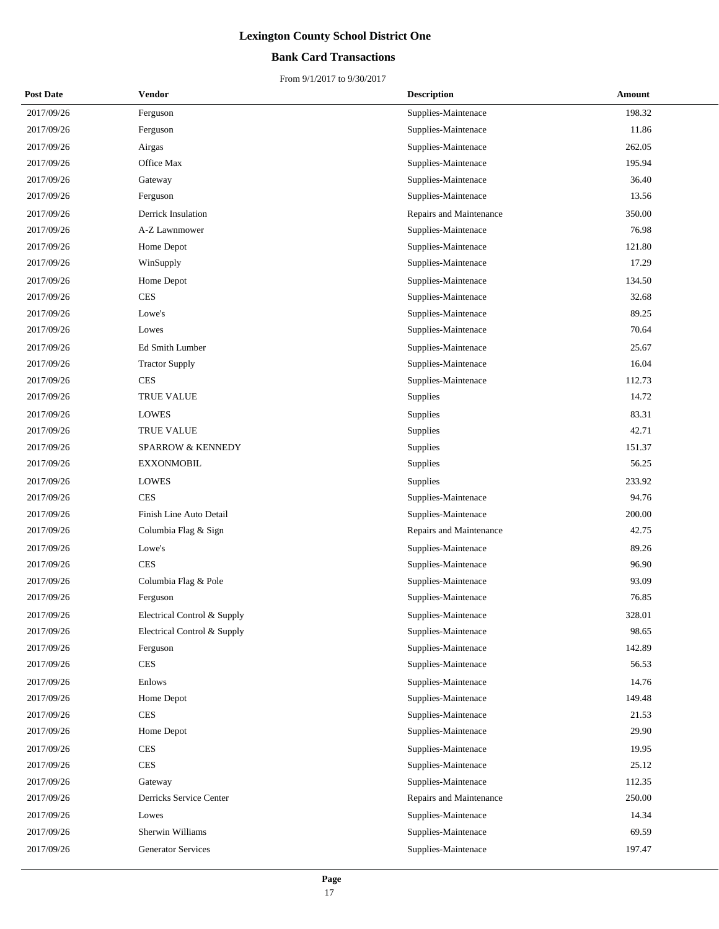#### **Bank Card Transactions**

| <b>Post Date</b> | Vendor                       | <b>Description</b>      | Amount |
|------------------|------------------------------|-------------------------|--------|
| 2017/09/26       | Ferguson                     | Supplies-Maintenace     | 198.32 |
| 2017/09/26       | Ferguson                     | Supplies-Maintenace     | 11.86  |
| 2017/09/26       | Airgas                       | Supplies-Maintenace     | 262.05 |
| 2017/09/26       | Office Max                   | Supplies-Maintenace     | 195.94 |
| 2017/09/26       | Gateway                      | Supplies-Maintenace     | 36.40  |
| 2017/09/26       | Ferguson                     | Supplies-Maintenace     | 13.56  |
| 2017/09/26       | Derrick Insulation           | Repairs and Maintenance | 350.00 |
| 2017/09/26       | A-Z Lawnmower                | Supplies-Maintenace     | 76.98  |
| 2017/09/26       | Home Depot                   | Supplies-Maintenace     | 121.80 |
| 2017/09/26       | WinSupply                    | Supplies-Maintenace     | 17.29  |
| 2017/09/26       | Home Depot                   | Supplies-Maintenace     | 134.50 |
| 2017/09/26       | <b>CES</b>                   | Supplies-Maintenace     | 32.68  |
| 2017/09/26       | Lowe's                       | Supplies-Maintenace     | 89.25  |
| 2017/09/26       | Lowes                        | Supplies-Maintenace     | 70.64  |
| 2017/09/26       | Ed Smith Lumber              | Supplies-Maintenace     | 25.67  |
| 2017/09/26       | <b>Tractor Supply</b>        | Supplies-Maintenace     | 16.04  |
| 2017/09/26       | <b>CES</b>                   | Supplies-Maintenace     | 112.73 |
| 2017/09/26       | TRUE VALUE                   | Supplies                | 14.72  |
| 2017/09/26       | LOWES                        | Supplies                | 83.31  |
| 2017/09/26       | TRUE VALUE                   | Supplies                | 42.71  |
| 2017/09/26       | <b>SPARROW &amp; KENNEDY</b> | Supplies                | 151.37 |
| 2017/09/26       | <b>EXXONMOBIL</b>            | Supplies                | 56.25  |
| 2017/09/26       | <b>LOWES</b>                 | Supplies                | 233.92 |
| 2017/09/26       | <b>CES</b>                   | Supplies-Maintenace     | 94.76  |
| 2017/09/26       | Finish Line Auto Detail      | Supplies-Maintenace     | 200.00 |
| 2017/09/26       | Columbia Flag & Sign         | Repairs and Maintenance | 42.75  |
| 2017/09/26       | Lowe's                       | Supplies-Maintenace     | 89.26  |
| 2017/09/26       | <b>CES</b>                   | Supplies-Maintenace     | 96.90  |
| 2017/09/26       | Columbia Flag & Pole         | Supplies-Maintenace     | 93.09  |
| 2017/09/26       | Ferguson                     | Supplies-Maintenace     | 76.85  |
| 2017/09/26       | Electrical Control & Supply  | Supplies-Maintenace     | 328.01 |
| 2017/09/26       | Electrical Control & Supply  | Supplies-Maintenace     | 98.65  |
| 2017/09/26       | Ferguson                     | Supplies-Maintenace     | 142.89 |
| 2017/09/26       | <b>CES</b>                   | Supplies-Maintenace     | 56.53  |
| 2017/09/26       | Enlows                       | Supplies-Maintenace     | 14.76  |
| 2017/09/26       | Home Depot                   | Supplies-Maintenace     | 149.48 |
| 2017/09/26       | <b>CES</b>                   | Supplies-Maintenace     | 21.53  |
| 2017/09/26       | Home Depot                   | Supplies-Maintenace     | 29.90  |
| 2017/09/26       | <b>CES</b>                   | Supplies-Maintenace     | 19.95  |
| 2017/09/26       | <b>CES</b>                   | Supplies-Maintenace     | 25.12  |
| 2017/09/26       | Gateway                      | Supplies-Maintenace     | 112.35 |
| 2017/09/26       | Derricks Service Center      | Repairs and Maintenance | 250.00 |
| 2017/09/26       | Lowes                        | Supplies-Maintenace     | 14.34  |
| 2017/09/26       | Sherwin Williams             | Supplies-Maintenace     | 69.59  |
| 2017/09/26       | <b>Generator Services</b>    | Supplies-Maintenace     | 197.47 |
|                  |                              |                         |        |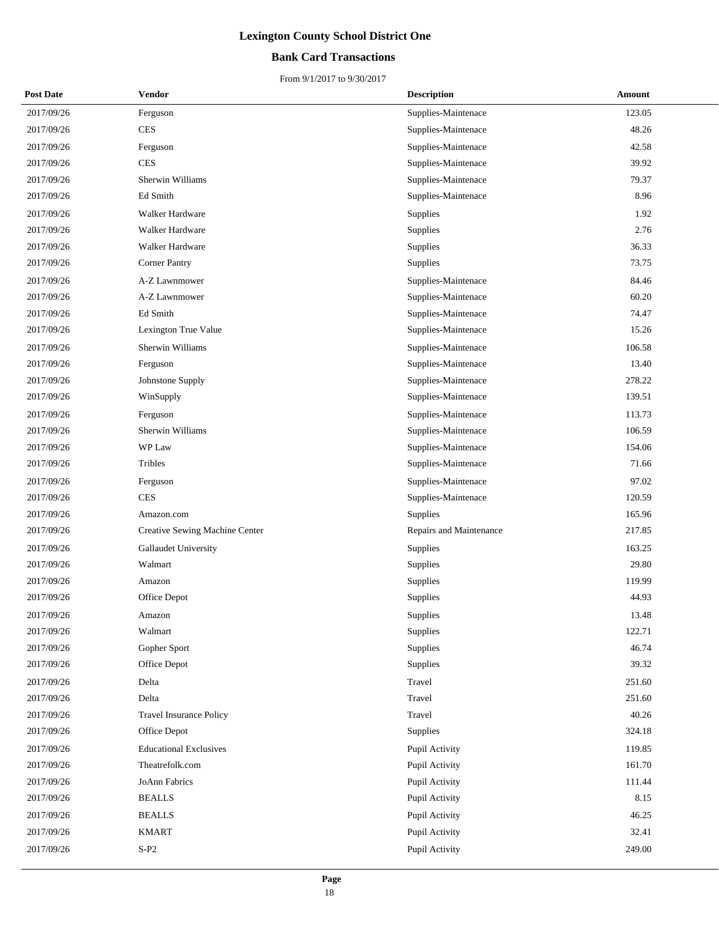#### **Bank Card Transactions**

| <b>Post Date</b> | <b>Vendor</b>                  | <b>Description</b>      | Amount |
|------------------|--------------------------------|-------------------------|--------|
| 2017/09/26       | Ferguson                       | Supplies-Maintenace     | 123.05 |
| 2017/09/26       | <b>CES</b>                     | Supplies-Maintenace     | 48.26  |
| 2017/09/26       | Ferguson                       | Supplies-Maintenace     | 42.58  |
| 2017/09/26       | <b>CES</b>                     | Supplies-Maintenace     | 39.92  |
| 2017/09/26       | Sherwin Williams               | Supplies-Maintenace     | 79.37  |
| 2017/09/26       | Ed Smith                       | Supplies-Maintenace     | 8.96   |
| 2017/09/26       | Walker Hardware                | Supplies                | 1.92   |
| 2017/09/26       | Walker Hardware                | Supplies                | 2.76   |
| 2017/09/26       | Walker Hardware                | Supplies                | 36.33  |
| 2017/09/26       | <b>Corner Pantry</b>           | Supplies                | 73.75  |
| 2017/09/26       | A-Z Lawnmower                  | Supplies-Maintenace     | 84.46  |
| 2017/09/26       | A-Z Lawnmower                  | Supplies-Maintenace     | 60.20  |
| 2017/09/26       | Ed Smith                       | Supplies-Maintenace     | 74.47  |
| 2017/09/26       | Lexington True Value           | Supplies-Maintenace     | 15.26  |
| 2017/09/26       | Sherwin Williams               | Supplies-Maintenace     | 106.58 |
| 2017/09/26       | Ferguson                       | Supplies-Maintenace     | 13.40  |
| 2017/09/26       | Johnstone Supply               | Supplies-Maintenace     | 278.22 |
| 2017/09/26       | WinSupply                      | Supplies-Maintenace     | 139.51 |
| 2017/09/26       | Ferguson                       | Supplies-Maintenace     | 113.73 |
| 2017/09/26       | Sherwin Williams               | Supplies-Maintenace     | 106.59 |
| 2017/09/26       | WP Law                         | Supplies-Maintenace     | 154.06 |
| 2017/09/26       | Tribles                        | Supplies-Maintenace     | 71.66  |
| 2017/09/26       | Ferguson                       | Supplies-Maintenace     | 97.02  |
| 2017/09/26       | <b>CES</b>                     | Supplies-Maintenace     | 120.59 |
| 2017/09/26       | Amazon.com                     | <b>Supplies</b>         | 165.96 |
| 2017/09/26       | Creative Sewing Machine Center | Repairs and Maintenance | 217.85 |
| 2017/09/26       | Gallaudet University           | Supplies                | 163.25 |
| 2017/09/26       | Walmart                        | Supplies                | 29.80  |
| 2017/09/26       | Amazon                         | Supplies                | 119.99 |
| 2017/09/26       | Office Depot                   | Supplies                | 44.93  |
| 2017/09/26       | Amazon                         | Supplies                | 13.48  |
| 2017/09/26       | Walmart                        | Supplies                | 122.71 |
| 2017/09/26       | Gopher Sport                   | Supplies                | 46.74  |
| 2017/09/26       | Office Depot                   | Supplies                | 39.32  |
| 2017/09/26       | Delta                          | Travel                  | 251.60 |
| 2017/09/26       | Delta                          | Travel                  | 251.60 |
| 2017/09/26       | <b>Travel Insurance Policy</b> | Travel                  | 40.26  |
| 2017/09/26       | Office Depot                   | <b>Supplies</b>         | 324.18 |
| 2017/09/26       | <b>Educational Exclusives</b>  | Pupil Activity          | 119.85 |
| 2017/09/26       | Theatrefolk.com                | Pupil Activity          | 161.70 |
| 2017/09/26       | JoAnn Fabrics                  | Pupil Activity          | 111.44 |
| 2017/09/26       | <b>BEALLS</b>                  | Pupil Activity          | 8.15   |
| 2017/09/26       | <b>BEALLS</b>                  | Pupil Activity          | 46.25  |
| 2017/09/26       | <b>KMART</b>                   | Pupil Activity          | 32.41  |
| 2017/09/26       | $S-P2$                         | Pupil Activity          | 249.00 |
|                  |                                |                         |        |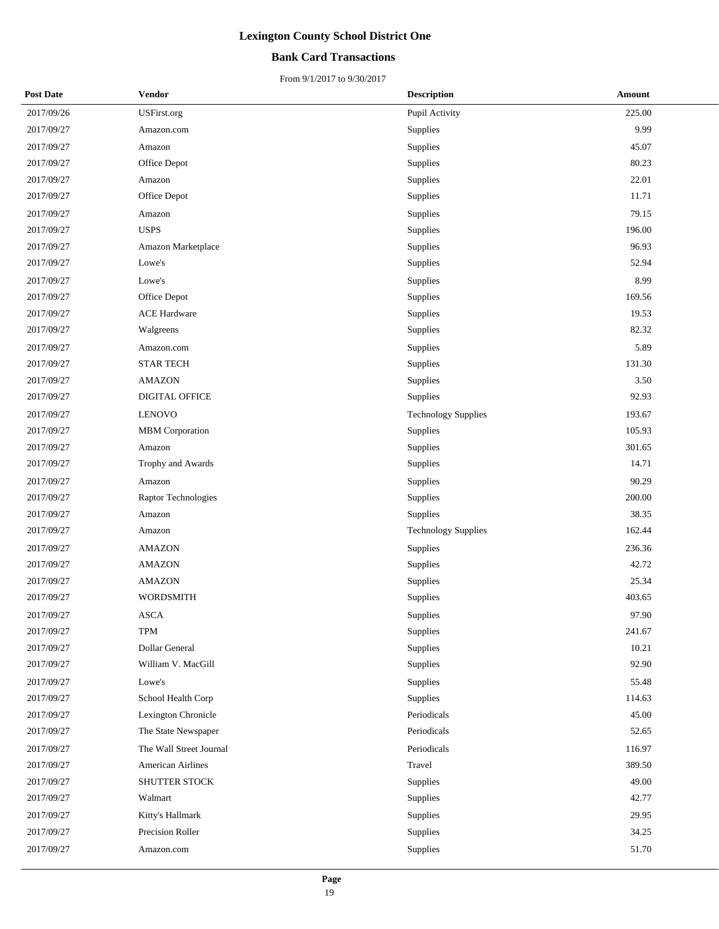#### **Bank Card Transactions**

| <b>Post Date</b> | <b>Vendor</b>            | <b>Description</b>         | Amount |
|------------------|--------------------------|----------------------------|--------|
| 2017/09/26       | USFirst.org              | Pupil Activity             | 225.00 |
| 2017/09/27       | Amazon.com               | Supplies                   | 9.99   |
| 2017/09/27       | Amazon                   | Supplies                   | 45.07  |
| 2017/09/27       | Office Depot             | Supplies                   | 80.23  |
| 2017/09/27       | Amazon                   | Supplies                   | 22.01  |
| 2017/09/27       | Office Depot             | Supplies                   | 11.71  |
| 2017/09/27       | Amazon                   | Supplies                   | 79.15  |
| 2017/09/27       | <b>USPS</b>              | Supplies                   | 196.00 |
| 2017/09/27       | Amazon Marketplace       | Supplies                   | 96.93  |
| 2017/09/27       | Lowe's                   | Supplies                   | 52.94  |
| 2017/09/27       | Lowe's                   | Supplies                   | 8.99   |
| 2017/09/27       | Office Depot             | Supplies                   | 169.56 |
| 2017/09/27       | <b>ACE Hardware</b>      | Supplies                   | 19.53  |
| 2017/09/27       | Walgreens                | Supplies                   | 82.32  |
| 2017/09/27       | Amazon.com               | Supplies                   | 5.89   |
| 2017/09/27       | <b>STAR TECH</b>         | Supplies                   | 131.30 |
| 2017/09/27       | <b>AMAZON</b>            | Supplies                   | 3.50   |
| 2017/09/27       | DIGITAL OFFICE           | Supplies                   | 92.93  |
| 2017/09/27       | <b>LENOVO</b>            | <b>Technology Supplies</b> | 193.67 |
| 2017/09/27       | MBM Corporation          | Supplies                   | 105.93 |
| 2017/09/27       | Amazon                   | Supplies                   | 301.65 |
| 2017/09/27       | Trophy and Awards        | Supplies                   | 14.71  |
| 2017/09/27       | Amazon                   | Supplies                   | 90.29  |
| 2017/09/27       | Raptor Technologies      | Supplies                   | 200.00 |
| 2017/09/27       | Amazon                   | Supplies                   | 38.35  |
| 2017/09/27       | Amazon                   | <b>Technology Supplies</b> | 162.44 |
| 2017/09/27       | <b>AMAZON</b>            | Supplies                   | 236.36 |
| 2017/09/27       | <b>AMAZON</b>            | Supplies                   | 42.72  |
| 2017/09/27       | <b>AMAZON</b>            | Supplies                   | 25.34  |
| 2017/09/27       | <b>WORDSMITH</b>         | Supplies                   | 403.65 |
| 2017/09/27       | ASCA                     | Supplies                   | 97.90  |
| 2017/09/27       | TPM                      | Supplies                   | 241.67 |
| 2017/09/27       | Dollar General           | Supplies                   | 10.21  |
| 2017/09/27       | William V. MacGill       | Supplies                   | 92.90  |
| 2017/09/27       | Lowe's                   | Supplies                   | 55.48  |
| 2017/09/27       | School Health Corp       | Supplies                   | 114.63 |
| 2017/09/27       | Lexington Chronicle      | Periodicals                | 45.00  |
| 2017/09/27       | The State Newspaper      | Periodicals                | 52.65  |
| 2017/09/27       | The Wall Street Journal  | Periodicals                | 116.97 |
| 2017/09/27       | <b>American Airlines</b> | Travel                     | 389.50 |
| 2017/09/27       | SHUTTER STOCK            | Supplies                   | 49.00  |
| 2017/09/27       | Walmart                  | Supplies                   | 42.77  |
| 2017/09/27       | Kitty's Hallmark         | Supplies                   | 29.95  |
| 2017/09/27       | Precision Roller         | Supplies                   | 34.25  |
| 2017/09/27       | Amazon.com               | Supplies                   | 51.70  |
|                  |                          |                            |        |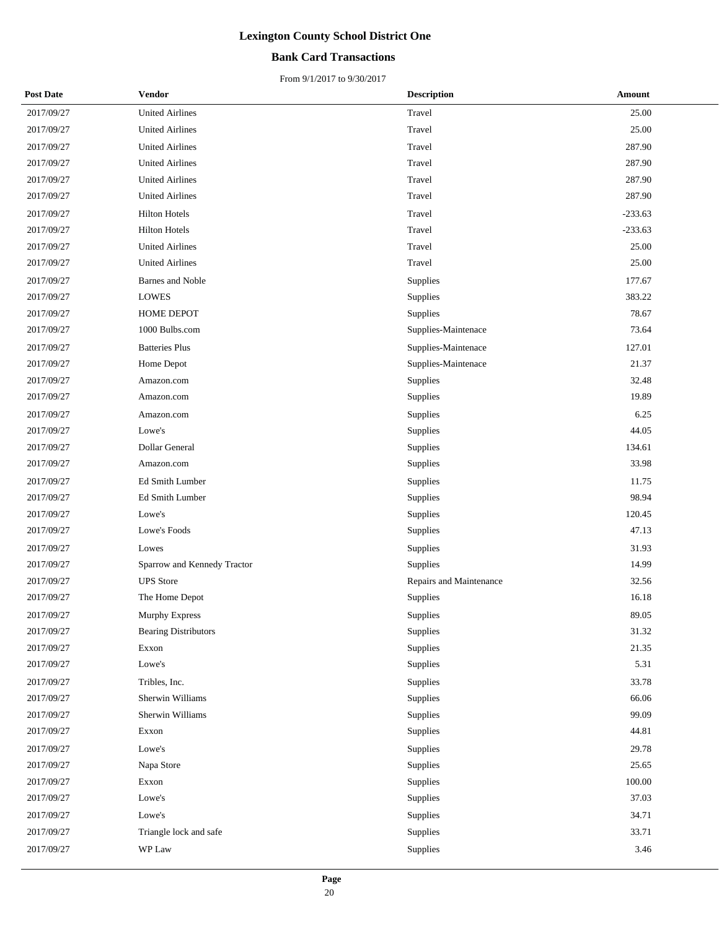#### **Bank Card Transactions**

| <b>Post Date</b> | <b>Vendor</b>               | <b>Description</b>      | Amount    |
|------------------|-----------------------------|-------------------------|-----------|
| 2017/09/27       | <b>United Airlines</b>      | Travel                  | 25.00     |
| 2017/09/27       | <b>United Airlines</b>      | Travel                  | 25.00     |
| 2017/09/27       | <b>United Airlines</b>      | Travel                  | 287.90    |
| 2017/09/27       | <b>United Airlines</b>      | Travel                  | 287.90    |
| 2017/09/27       | <b>United Airlines</b>      | Travel                  | 287.90    |
| 2017/09/27       | <b>United Airlines</b>      | Travel                  | 287.90    |
| 2017/09/27       | <b>Hilton Hotels</b>        | Travel                  | $-233.63$ |
| 2017/09/27       | <b>Hilton Hotels</b>        | Travel                  | $-233.63$ |
| 2017/09/27       | <b>United Airlines</b>      | Travel                  | 25.00     |
| 2017/09/27       | <b>United Airlines</b>      | Travel                  | 25.00     |
| 2017/09/27       | Barnes and Noble            | <b>Supplies</b>         | 177.67    |
| 2017/09/27       | <b>LOWES</b>                | Supplies                | 383.22    |
| 2017/09/27       | HOME DEPOT                  | Supplies                | 78.67     |
| 2017/09/27       | 1000 Bulbs.com              | Supplies-Maintenace     | 73.64     |
| 2017/09/27       | <b>Batteries Plus</b>       | Supplies-Maintenace     | 127.01    |
| 2017/09/27       | Home Depot                  | Supplies-Maintenace     | 21.37     |
| 2017/09/27       | Amazon.com                  | <b>Supplies</b>         | 32.48     |
| 2017/09/27       | Amazon.com                  | Supplies                | 19.89     |
| 2017/09/27       | Amazon.com                  | Supplies                | 6.25      |
| 2017/09/27       | Lowe's                      | Supplies                | 44.05     |
| 2017/09/27       | Dollar General              | Supplies                | 134.61    |
| 2017/09/27       | Amazon.com                  | Supplies                | 33.98     |
| 2017/09/27       | Ed Smith Lumber             | Supplies                | 11.75     |
| 2017/09/27       | Ed Smith Lumber             | Supplies                | 98.94     |
| 2017/09/27       | Lowe's                      | Supplies                | 120.45    |
| 2017/09/27       | Lowe's Foods                | Supplies                | 47.13     |
| 2017/09/27       | Lowes                       | Supplies                | 31.93     |
| 2017/09/27       | Sparrow and Kennedy Tractor | Supplies                | 14.99     |
| 2017/09/27       | <b>UPS</b> Store            | Repairs and Maintenance | 32.56     |
| 2017/09/27       | The Home Depot              | Supplies                | 16.18     |
| 2017/09/27       | Murphy Express              | Supplies                | 89.05     |
| 2017/09/27       | <b>Bearing Distributors</b> | Supplies                | 31.32     |
| 2017/09/27       | Exxon                       | Supplies                | 21.35     |
| 2017/09/27       | Lowe's                      | Supplies                | 5.31      |
| 2017/09/27       | Tribles, Inc.               | Supplies                | 33.78     |
| 2017/09/27       | Sherwin Williams            | Supplies                | 66.06     |
| 2017/09/27       | Sherwin Williams            | Supplies                | 99.09     |
| 2017/09/27       | Exxon                       | Supplies                | 44.81     |
| 2017/09/27       | Lowe's                      | Supplies                | 29.78     |
| 2017/09/27       | Napa Store                  | Supplies                | 25.65     |
| 2017/09/27       | Exxon                       | Supplies                | 100.00    |
| 2017/09/27       | Lowe's                      | Supplies                | 37.03     |
| 2017/09/27       | Lowe's                      | Supplies                | 34.71     |
| 2017/09/27       | Triangle lock and safe      | Supplies                | 33.71     |
| 2017/09/27       | WP Law                      | Supplies                | 3.46      |
|                  |                             |                         |           |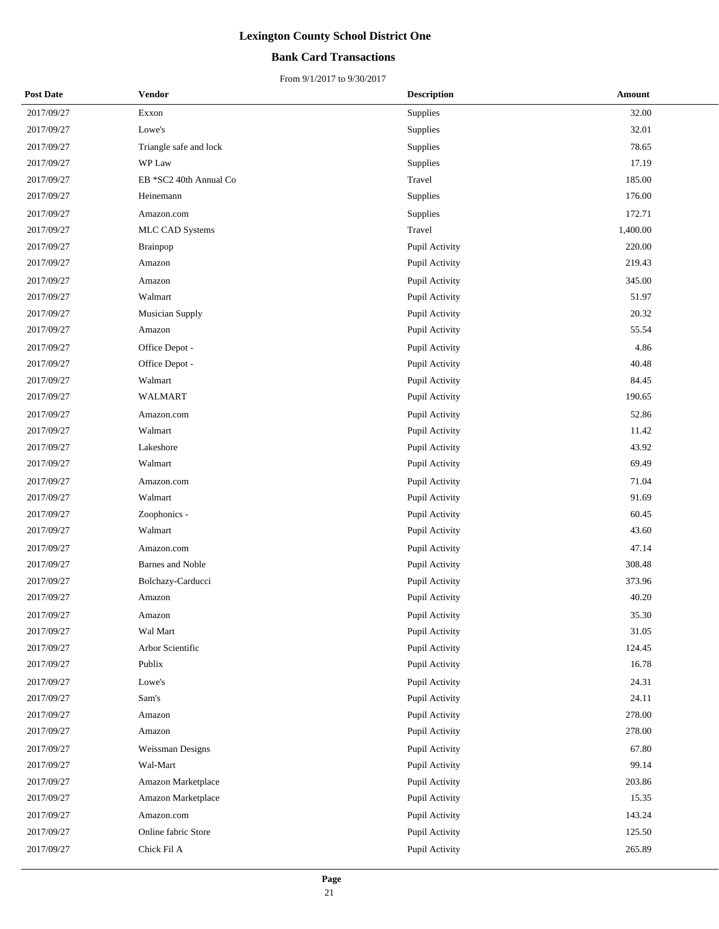#### **Bank Card Transactions**

| <b>Post Date</b> | <b>Vendor</b>           | <b>Description</b> | <b>Amount</b> |
|------------------|-------------------------|--------------------|---------------|
| 2017/09/27       | Exxon                   | Supplies           | 32.00         |
| 2017/09/27       | Lowe's                  | Supplies           | 32.01         |
| 2017/09/27       | Triangle safe and lock  | Supplies           | 78.65         |
| 2017/09/27       | WP Law                  | Supplies           | 17.19         |
| 2017/09/27       | EB *SC2 40th Annual Co  | Travel             | 185.00        |
| 2017/09/27       | Heinemann               | Supplies           | 176.00        |
| 2017/09/27       | Amazon.com              | Supplies           | 172.71        |
| 2017/09/27       | MLC CAD Systems         | Travel             | 1,400.00      |
| 2017/09/27       | <b>Brainpop</b>         | Pupil Activity     | 220.00        |
| 2017/09/27       | Amazon                  | Pupil Activity     | 219.43        |
| 2017/09/27       | Amazon                  | Pupil Activity     | 345.00        |
| 2017/09/27       | Walmart                 | Pupil Activity     | 51.97         |
| 2017/09/27       | <b>Musician Supply</b>  | Pupil Activity     | 20.32         |
| 2017/09/27       | Amazon                  | Pupil Activity     | 55.54         |
| 2017/09/27       | Office Depot -          | Pupil Activity     | 4.86          |
| 2017/09/27       | Office Depot -          | Pupil Activity     | 40.48         |
| 2017/09/27       | Walmart                 | Pupil Activity     | 84.45         |
| 2017/09/27       | <b>WALMART</b>          | Pupil Activity     | 190.65        |
| 2017/09/27       | Amazon.com              | Pupil Activity     | 52.86         |
| 2017/09/27       | Walmart                 | Pupil Activity     | 11.42         |
| 2017/09/27       | Lakeshore               | Pupil Activity     | 43.92         |
| 2017/09/27       | Walmart                 | Pupil Activity     | 69.49         |
| 2017/09/27       | Amazon.com              | Pupil Activity     | 71.04         |
| 2017/09/27       | Walmart                 | Pupil Activity     | 91.69         |
| 2017/09/27       | Zoophonics -            | Pupil Activity     | 60.45         |
| 2017/09/27       | Walmart                 | Pupil Activity     | 43.60         |
| 2017/09/27       | Amazon.com              | Pupil Activity     | 47.14         |
| 2017/09/27       | <b>Barnes and Noble</b> | Pupil Activity     | 308.48        |
| 2017/09/27       | Bolchazy-Carducci       | Pupil Activity     | 373.96        |
| 2017/09/27       | Amazon                  | Pupil Activity     | 40.20         |
| 2017/09/27       | Amazon                  | Pupil Activity     | 35.30         |
| 2017/09/27       | Wal Mart                | Pupil Activity     | 31.05         |
| 2017/09/27       | Arbor Scientific        | Pupil Activity     | 124.45        |
| 2017/09/27       | Publix                  | Pupil Activity     | 16.78         |
| 2017/09/27       | Lowe's                  | Pupil Activity     | 24.31         |
| 2017/09/27       | Sam's                   | Pupil Activity     | 24.11         |
| 2017/09/27       | Amazon                  | Pupil Activity     | 278.00        |
| 2017/09/27       | Amazon                  | Pupil Activity     | 278.00        |
| 2017/09/27       | Weissman Designs        | Pupil Activity     | 67.80         |
| 2017/09/27       | Wal-Mart                | Pupil Activity     | 99.14         |
| 2017/09/27       | Amazon Marketplace      | Pupil Activity     | 203.86        |
| 2017/09/27       | Amazon Marketplace      | Pupil Activity     | 15.35         |
| 2017/09/27       | Amazon.com              | Pupil Activity     | 143.24        |
| 2017/09/27       | Online fabric Store     | Pupil Activity     | 125.50        |
| 2017/09/27       | Chick Fil A             | Pupil Activity     | 265.89        |
|                  |                         |                    |               |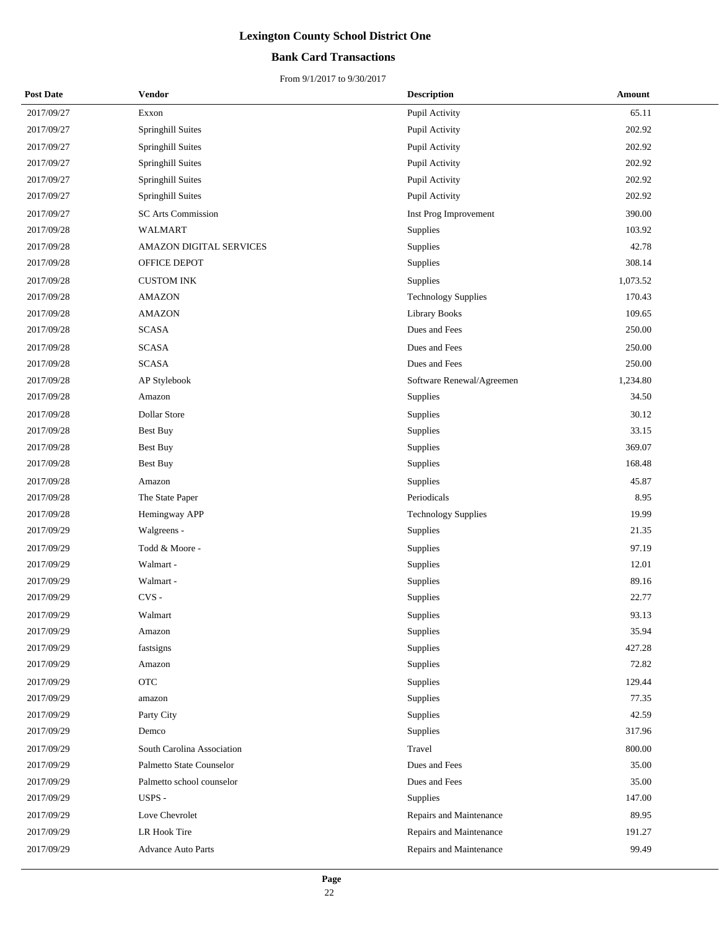#### **Bank Card Transactions**

| <b>Post Date</b> | <b>Vendor</b>              | <b>Description</b>         | <b>Amount</b> |
|------------------|----------------------------|----------------------------|---------------|
| 2017/09/27       | Exxon                      | Pupil Activity             | 65.11         |
| 2017/09/27       | Springhill Suites          | Pupil Activity             | 202.92        |
| 2017/09/27       | Springhill Suites          | Pupil Activity             | 202.92        |
| 2017/09/27       | Springhill Suites          | Pupil Activity             | 202.92        |
| 2017/09/27       | Springhill Suites          | Pupil Activity             | 202.92        |
| 2017/09/27       | Springhill Suites          | Pupil Activity             | 202.92        |
| 2017/09/27       | <b>SC Arts Commission</b>  | Inst Prog Improvement      | 390.00        |
| 2017/09/28       | <b>WALMART</b>             | Supplies                   | 103.92        |
| 2017/09/28       | AMAZON DIGITAL SERVICES    | Supplies                   | 42.78         |
| 2017/09/28       | OFFICE DEPOT               | Supplies                   | 308.14        |
| 2017/09/28       | <b>CUSTOM INK</b>          | Supplies                   | 1,073.52      |
| 2017/09/28       | <b>AMAZON</b>              | <b>Technology Supplies</b> | 170.43        |
| 2017/09/28       | <b>AMAZON</b>              | Library Books              | 109.65        |
| 2017/09/28       | <b>SCASA</b>               | Dues and Fees              | 250.00        |
| 2017/09/28       | <b>SCASA</b>               | Dues and Fees              | 250.00        |
| 2017/09/28       | <b>SCASA</b>               | Dues and Fees              | 250.00        |
| 2017/09/28       | AP Stylebook               | Software Renewal/Agreemen  | 1,234.80      |
| 2017/09/28       | Amazon                     | Supplies                   | 34.50         |
| 2017/09/28       | <b>Dollar Store</b>        | Supplies                   | 30.12         |
| 2017/09/28       | <b>Best Buy</b>            | Supplies                   | 33.15         |
| 2017/09/28       | <b>Best Buy</b>            | Supplies                   | 369.07        |
| 2017/09/28       | <b>Best Buy</b>            | Supplies                   | 168.48        |
| 2017/09/28       | Amazon                     | Supplies                   | 45.87         |
| 2017/09/28       | The State Paper            | Periodicals                | 8.95          |
| 2017/09/28       | Hemingway APP              | <b>Technology Supplies</b> | 19.99         |
| 2017/09/29       | Walgreens -                | Supplies                   | 21.35         |
| 2017/09/29       | Todd & Moore -             | Supplies                   | 97.19         |
| 2017/09/29       | Walmart -                  | Supplies                   | 12.01         |
| 2017/09/29       | Walmart -                  | Supplies                   | 89.16         |
| 2017/09/29       | $CVS -$                    | Supplies                   | 22.77         |
| 2017/09/29       | Walmart                    | Supplies                   | 93.13         |
| 2017/09/29       | Amazon                     | Supplies                   | 35.94         |
| 2017/09/29       | fastsigns                  | Supplies                   | 427.28        |
| 2017/09/29       | Amazon                     | Supplies                   | 72.82         |
| 2017/09/29       | <b>OTC</b>                 | Supplies                   | 129.44        |
| 2017/09/29       | amazon                     | Supplies                   | 77.35         |
| 2017/09/29       | Party City                 | Supplies                   | 42.59         |
| 2017/09/29       | Demco                      | Supplies                   | 317.96        |
| 2017/09/29       | South Carolina Association | Travel                     | 800.00        |
| 2017/09/29       | Palmetto State Counselor   | Dues and Fees              | 35.00         |
| 2017/09/29       | Palmetto school counselor  | Dues and Fees              | 35.00         |
| 2017/09/29       | USPS -                     | Supplies                   | 147.00        |
| 2017/09/29       | Love Chevrolet             | Repairs and Maintenance    | 89.95         |
| 2017/09/29       | LR Hook Tire               | Repairs and Maintenance    | 191.27        |
| 2017/09/29       | <b>Advance Auto Parts</b>  | Repairs and Maintenance    | 99.49         |
|                  |                            |                            |               |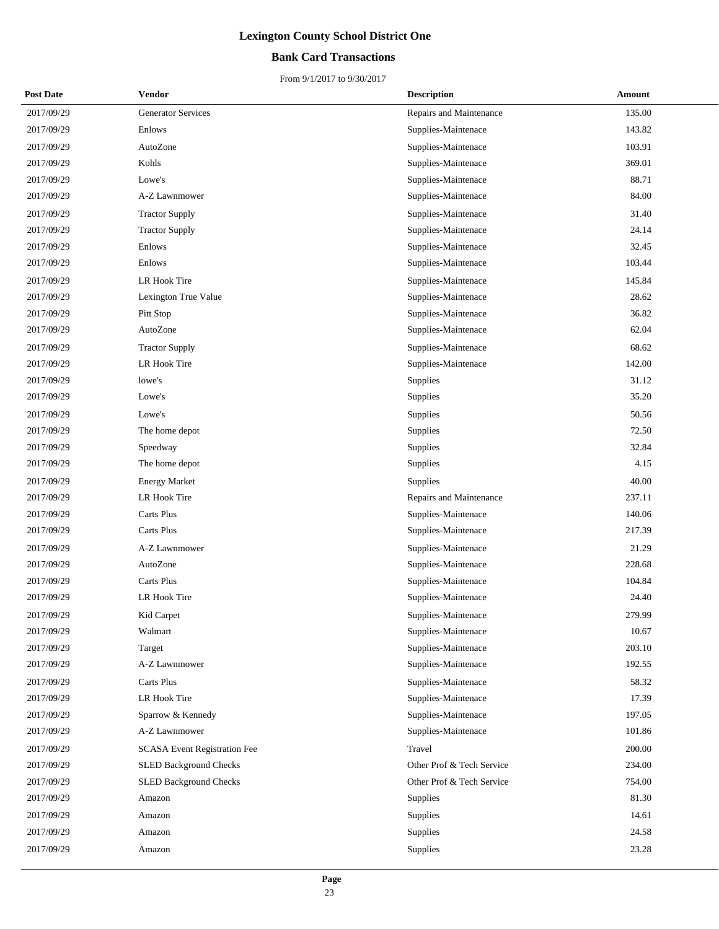#### **Bank Card Transactions**

| <b>Post Date</b> | Vendor                              | <b>Description</b>        | Amount |
|------------------|-------------------------------------|---------------------------|--------|
| 2017/09/29       | <b>Generator Services</b>           | Repairs and Maintenance   | 135.00 |
| 2017/09/29       | Enlows                              | Supplies-Maintenace       | 143.82 |
| 2017/09/29       | AutoZone                            | Supplies-Maintenace       | 103.91 |
| 2017/09/29       | Kohls                               | Supplies-Maintenace       | 369.01 |
| 2017/09/29       | Lowe's                              | Supplies-Maintenace       | 88.71  |
| 2017/09/29       | A-Z Lawnmower                       | Supplies-Maintenace       | 84.00  |
| 2017/09/29       | <b>Tractor Supply</b>               | Supplies-Maintenace       | 31.40  |
| 2017/09/29       | <b>Tractor Supply</b>               | Supplies-Maintenace       | 24.14  |
| 2017/09/29       | Enlows                              | Supplies-Maintenace       | 32.45  |
| 2017/09/29       | Enlows                              | Supplies-Maintenace       | 103.44 |
| 2017/09/29       | LR Hook Tire                        | Supplies-Maintenace       | 145.84 |
| 2017/09/29       | Lexington True Value                | Supplies-Maintenace       | 28.62  |
| 2017/09/29       | Pitt Stop                           | Supplies-Maintenace       | 36.82  |
| 2017/09/29       | AutoZone                            | Supplies-Maintenace       | 62.04  |
| 2017/09/29       | <b>Tractor Supply</b>               | Supplies-Maintenace       | 68.62  |
| 2017/09/29       | LR Hook Tire                        | Supplies-Maintenace       | 142.00 |
| 2017/09/29       | lowe's                              | Supplies                  | 31.12  |
| 2017/09/29       | Lowe's                              | Supplies                  | 35.20  |
| 2017/09/29       | Lowe's                              | Supplies                  | 50.56  |
| 2017/09/29       | The home depot                      | Supplies                  | 72.50  |
| 2017/09/29       | Speedway                            | Supplies                  | 32.84  |
| 2017/09/29       | The home depot                      | Supplies                  | 4.15   |
| 2017/09/29       | <b>Energy Market</b>                | Supplies                  | 40.00  |
| 2017/09/29       | LR Hook Tire                        | Repairs and Maintenance   | 237.11 |
| 2017/09/29       | Carts Plus                          | Supplies-Maintenace       | 140.06 |
| 2017/09/29       | Carts Plus                          | Supplies-Maintenace       | 217.39 |
| 2017/09/29       | A-Z Lawnmower                       | Supplies-Maintenace       | 21.29  |
| 2017/09/29       | AutoZone                            | Supplies-Maintenace       | 228.68 |
| 2017/09/29       | Carts Plus                          | Supplies-Maintenace       | 104.84 |
| 2017/09/29       | LR Hook Tire                        | Supplies-Maintenace       | 24.40  |
| 2017/09/29       | Kid Carpet                          | Supplies-Maintenace       | 279.99 |
| 2017/09/29       | Walmart                             | Supplies-Maintenace       | 10.67  |
| 2017/09/29       | Target                              | Supplies-Maintenace       | 203.10 |
| 2017/09/29       | A-Z Lawnmower                       | Supplies-Maintenace       | 192.55 |
| 2017/09/29       | Carts Plus                          | Supplies-Maintenace       | 58.32  |
| 2017/09/29       | LR Hook Tire                        | Supplies-Maintenace       | 17.39  |
| 2017/09/29       | Sparrow & Kennedy                   | Supplies-Maintenace       | 197.05 |
| 2017/09/29       | A-Z Lawnmower                       | Supplies-Maintenace       | 101.86 |
| 2017/09/29       | <b>SCASA Event Registration Fee</b> | Travel                    | 200.00 |
| 2017/09/29       | <b>SLED Background Checks</b>       | Other Prof & Tech Service | 234.00 |
| 2017/09/29       | SLED Background Checks              | Other Prof & Tech Service | 754.00 |
| 2017/09/29       | Amazon                              | Supplies                  | 81.30  |
| 2017/09/29       | Amazon                              | Supplies                  | 14.61  |
| 2017/09/29       | Amazon                              | Supplies                  | 24.58  |
| 2017/09/29       | Amazon                              | Supplies                  | 23.28  |
|                  |                                     |                           |        |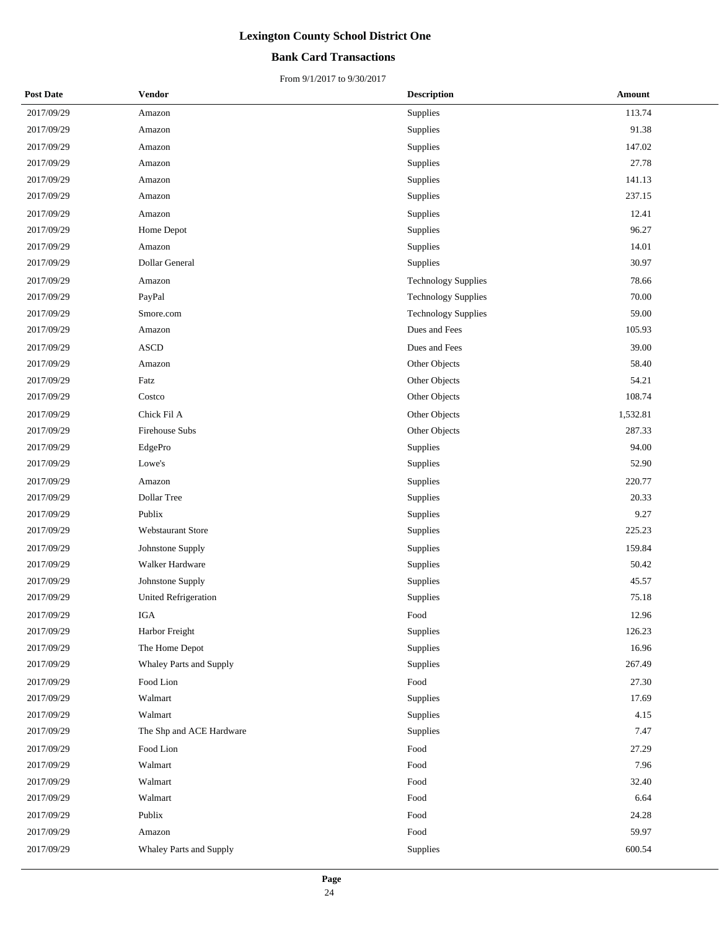#### **Bank Card Transactions**

| <b>Post Date</b> | Vendor                      | <b>Description</b>         | Amount   |
|------------------|-----------------------------|----------------------------|----------|
| 2017/09/29       | Amazon                      | Supplies                   | 113.74   |
| 2017/09/29       | Amazon                      | Supplies                   | 91.38    |
| 2017/09/29       | Amazon                      | Supplies                   | 147.02   |
| 2017/09/29       | Amazon                      | Supplies                   | 27.78    |
| 2017/09/29       | Amazon                      | Supplies                   | 141.13   |
| 2017/09/29       | Amazon                      | Supplies                   | 237.15   |
| 2017/09/29       | Amazon                      | Supplies                   | 12.41    |
| 2017/09/29       | Home Depot                  | Supplies                   | 96.27    |
| 2017/09/29       | Amazon                      | Supplies                   | 14.01    |
| 2017/09/29       | Dollar General              | Supplies                   | 30.97    |
| 2017/09/29       | Amazon                      | <b>Technology Supplies</b> | 78.66    |
| 2017/09/29       | PayPal                      | <b>Technology Supplies</b> | 70.00    |
| 2017/09/29       | Smore.com                   | <b>Technology Supplies</b> | 59.00    |
| 2017/09/29       | Amazon                      | Dues and Fees              | 105.93   |
| 2017/09/29       | <b>ASCD</b>                 | Dues and Fees              | 39.00    |
| 2017/09/29       | Amazon                      | Other Objects              | 58.40    |
| 2017/09/29       | Fatz                        | Other Objects              | 54.21    |
| 2017/09/29       | Costco                      | Other Objects              | 108.74   |
| 2017/09/29       | Chick Fil A                 | Other Objects              | 1,532.81 |
| 2017/09/29       | Firehouse Subs              | Other Objects              | 287.33   |
| 2017/09/29       | EdgePro                     | Supplies                   | 94.00    |
| 2017/09/29       | Lowe's                      | Supplies                   | 52.90    |
| 2017/09/29       | Amazon                      | Supplies                   | 220.77   |
| 2017/09/29       | Dollar Tree                 | Supplies                   | 20.33    |
| 2017/09/29       | Publix                      | Supplies                   | 9.27     |
| 2017/09/29       | <b>Webstaurant Store</b>    | Supplies                   | 225.23   |
| 2017/09/29       | Johnstone Supply            | Supplies                   | 159.84   |
| 2017/09/29       | Walker Hardware             | Supplies                   | 50.42    |
| 2017/09/29       | Johnstone Supply            | Supplies                   | 45.57    |
| 2017/09/29       | <b>United Refrigeration</b> | Supplies                   | 75.18    |
| 2017/09/29       | IGA                         | Food                       | 12.96    |
| 2017/09/29       | Harbor Freight              | Supplies                   | 126.23   |
| 2017/09/29       | The Home Depot              | Supplies                   | 16.96    |
| 2017/09/29       | Whaley Parts and Supply     | Supplies                   | 267.49   |
| 2017/09/29       | Food Lion                   | Food                       | 27.30    |
| 2017/09/29       | Walmart                     | Supplies                   | 17.69    |
| 2017/09/29       | Walmart                     | Supplies                   | 4.15     |
| 2017/09/29       | The Shp and ACE Hardware    | Supplies                   | 7.47     |
| 2017/09/29       | Food Lion                   | Food                       | 27.29    |
| 2017/09/29       | Walmart                     | Food                       | 7.96     |
| 2017/09/29       | Walmart                     | Food                       | 32.40    |
| 2017/09/29       | Walmart                     | Food                       | 6.64     |
| 2017/09/29       | Publix                      | Food                       | 24.28    |
| 2017/09/29       | Amazon                      | Food                       | 59.97    |
| 2017/09/29       | Whaley Parts and Supply     | Supplies                   | 600.54   |
|                  |                             |                            |          |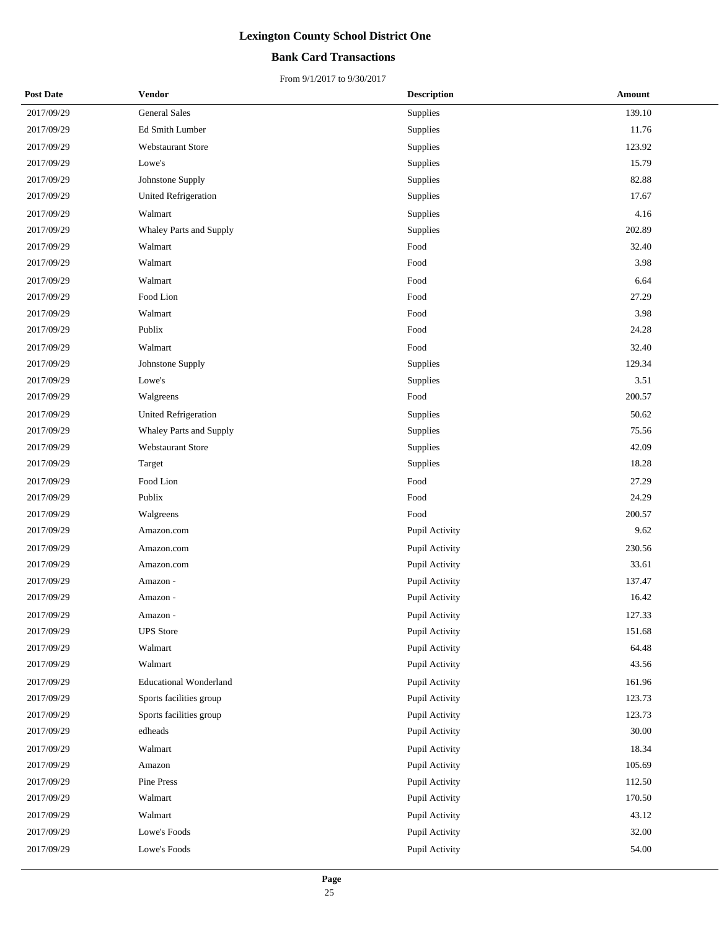#### **Bank Card Transactions**

| <b>Post Date</b> | <b>Vendor</b>                 | <b>Description</b> | <b>Amount</b> |
|------------------|-------------------------------|--------------------|---------------|
| 2017/09/29       | <b>General Sales</b>          | Supplies           | 139.10        |
| 2017/09/29       | Ed Smith Lumber               | Supplies           | 11.76         |
| 2017/09/29       | <b>Webstaurant Store</b>      | Supplies           | 123.92        |
| 2017/09/29       | Lowe's                        | Supplies           | 15.79         |
| 2017/09/29       | Johnstone Supply              | Supplies           | 82.88         |
| 2017/09/29       | <b>United Refrigeration</b>   | Supplies           | 17.67         |
| 2017/09/29       | Walmart                       | Supplies           | 4.16          |
| 2017/09/29       | Whaley Parts and Supply       | Supplies           | 202.89        |
| 2017/09/29       | Walmart                       | Food               | 32.40         |
| 2017/09/29       | Walmart                       | Food               | 3.98          |
| 2017/09/29       | Walmart                       | Food               | 6.64          |
| 2017/09/29       | Food Lion                     | Food               | 27.29         |
| 2017/09/29       | Walmart                       | Food               | 3.98          |
| 2017/09/29       | Publix                        | Food               | 24.28         |
| 2017/09/29       | Walmart                       | Food               | 32.40         |
| 2017/09/29       | Johnstone Supply              | Supplies           | 129.34        |
| 2017/09/29       | Lowe's                        | Supplies           | 3.51          |
| 2017/09/29       | Walgreens                     | Food               | 200.57        |
| 2017/09/29       | <b>United Refrigeration</b>   | Supplies           | 50.62         |
| 2017/09/29       | Whaley Parts and Supply       | Supplies           | 75.56         |
| 2017/09/29       | Webstaurant Store             | Supplies           | 42.09         |
| 2017/09/29       | Target                        | Supplies           | 18.28         |
| 2017/09/29       | Food Lion                     | Food               | 27.29         |
| 2017/09/29       | Publix                        | Food               | 24.29         |
| 2017/09/29       | Walgreens                     | Food               | 200.57        |
| 2017/09/29       | Amazon.com                    | Pupil Activity     | 9.62          |
| 2017/09/29       | Amazon.com                    | Pupil Activity     | 230.56        |
| 2017/09/29       | Amazon.com                    | Pupil Activity     | 33.61         |
| 2017/09/29       | Amazon -                      | Pupil Activity     | 137.47        |
| 2017/09/29       | Amazon -                      | Pupil Activity     | 16.42         |
| 2017/09/29       | Amazon -                      | Pupil Activity     | 127.33        |
| 2017/09/29       | <b>UPS</b> Store              | Pupil Activity     | 151.68        |
| 2017/09/29       | Walmart                       | Pupil Activity     | 64.48         |
| 2017/09/29       | Walmart                       | Pupil Activity     | 43.56         |
| 2017/09/29       | <b>Educational Wonderland</b> | Pupil Activity     | 161.96        |
| 2017/09/29       | Sports facilities group       | Pupil Activity     | 123.73        |
| 2017/09/29       | Sports facilities group       | Pupil Activity     | 123.73        |
| 2017/09/29       | edheads                       | Pupil Activity     | 30.00         |
| 2017/09/29       | Walmart                       | Pupil Activity     | 18.34         |
| 2017/09/29       | Amazon                        | Pupil Activity     | 105.69        |
| 2017/09/29       | Pine Press                    | Pupil Activity     | 112.50        |
| 2017/09/29       | Walmart                       | Pupil Activity     | 170.50        |
| 2017/09/29       | Walmart                       | Pupil Activity     | 43.12         |
| 2017/09/29       | Lowe's Foods                  | Pupil Activity     | 32.00         |
| 2017/09/29       | Lowe's Foods                  | Pupil Activity     | 54.00         |
|                  |                               |                    |               |